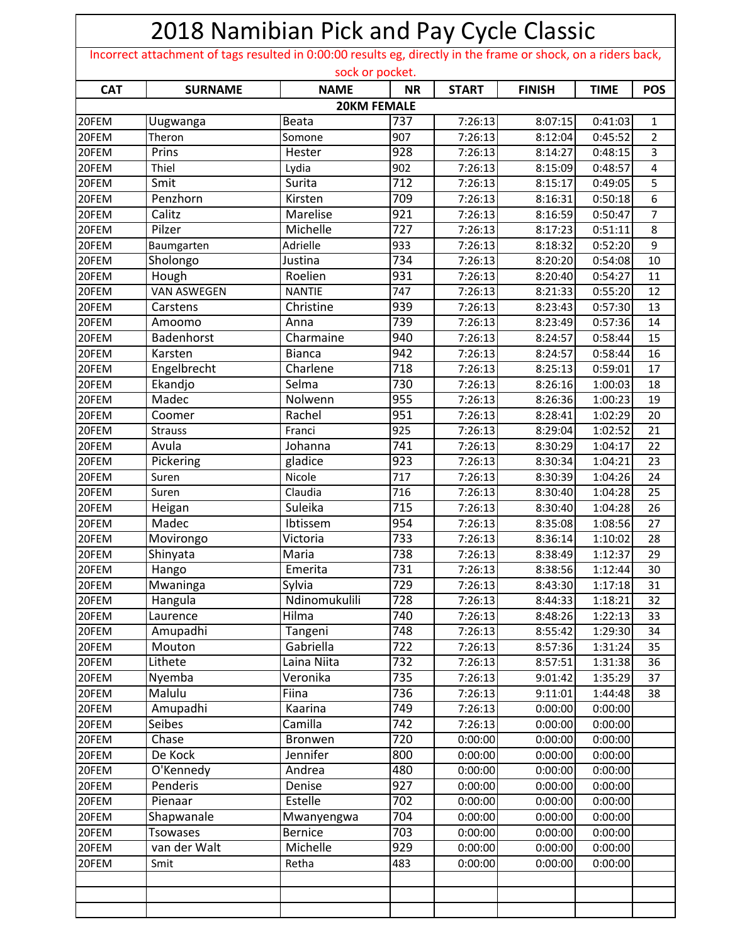|            | 2018 Namibian Pick and Pay Cycle Classic<br>Incorrect attachment of tags resulted in 0:00:00 results eg, directly in the frame or shock, on a riders back, |                 |                    |              |               |             |                |  |  |  |
|------------|------------------------------------------------------------------------------------------------------------------------------------------------------------|-----------------|--------------------|--------------|---------------|-------------|----------------|--|--|--|
|            |                                                                                                                                                            |                 | sock or pocket.    |              |               |             |                |  |  |  |
| <b>CAT</b> | <b>SURNAME</b>                                                                                                                                             | <b>NAME</b>     | <b>NR</b>          | <b>START</b> | <b>FINISH</b> | <b>TIME</b> | <b>POS</b>     |  |  |  |
|            |                                                                                                                                                            |                 | <b>20KM FEMALE</b> |              |               |             |                |  |  |  |
| 20FEM      | Uugwanga                                                                                                                                                   | Beata           | 737                | 7:26:13      | 8:07:15       | 0:41:03     | 1              |  |  |  |
| 20FEM      | Theron                                                                                                                                                     | Somone          | 907                | 7:26:13      | 8:12:04       | 0:45:52     | $\overline{2}$ |  |  |  |
| 20FEM      | Prins                                                                                                                                                      | Hester          | $\overline{928}$   | 7:26:13      | 8:14:27       | 0:48:15     | $\overline{3}$ |  |  |  |
| 20FEM      | Thiel                                                                                                                                                      | Lydia           | 902                | 7:26:13      | 8:15:09       | 0:48:57     | $\overline{4}$ |  |  |  |
| 20FEM      | Smit                                                                                                                                                       | Surita          | 712                | 7:26:13      | 8:15:17       | 0:49:05     | 5              |  |  |  |
| 20FEM      | Penzhorn                                                                                                                                                   | Kirsten         | 709                | 7:26:13      | 8:16:31       | 0:50:18     | 6              |  |  |  |
| 20FEM      | Calitz                                                                                                                                                     | Marelise        | 921                | 7:26:13      | 8:16:59       | 0:50:47     | $\overline{7}$ |  |  |  |
| 20FEM      | Pilzer                                                                                                                                                     | Michelle        | 727                | 7:26:13      | 8:17:23       | 0:51:11     | 8              |  |  |  |
| 20FEM      | Baumgarten                                                                                                                                                 | Adrielle        | 933                | 7:26:13      | 8:18:32       | 0:52:20     | 9              |  |  |  |
| 20FEM      | Sholongo                                                                                                                                                   | Justina         | 734                | 7:26:13      | 8:20:20       | 0:54:08     | 10             |  |  |  |
| 20FEM      | Hough                                                                                                                                                      | Roelien         | 931                | 7:26:13      | 8:20:40       | 0:54:27     | 11             |  |  |  |
| 20FEM      | <b>VAN ASWEGEN</b>                                                                                                                                         | <b>NANTIE</b>   | 747                | 7:26:13      | 8:21:33       | 0:55:20     | 12             |  |  |  |
| 20FEM      | Carstens                                                                                                                                                   | Christine       | 939                | 7:26:13      | 8:23:43       | 0:57:30     | 13             |  |  |  |
| 20FEM      | Amoomo                                                                                                                                                     | Anna            | 739                | 7:26:13      | 8:23:49       | 0:57:36     | 14             |  |  |  |
| 20FEM      | Badenhorst                                                                                                                                                 | Charmaine       | 940                | 7:26:13      | 8:24:57       | 0:58:44     | 15             |  |  |  |
| 20FEM      | Karsten                                                                                                                                                    | <b>Bianca</b>   | 942                | 7:26:13      | 8:24:57       | 0:58:44     | 16             |  |  |  |
| 20FEM      | Engelbrecht                                                                                                                                                | Charlene        | 718                | 7:26:13      | 8:25:13       | 0:59:01     | 17             |  |  |  |
| 20FEM      | Ekandjo                                                                                                                                                    | Selma           | 730                | 7:26:13      | 8:26:16       | 1:00:03     | 18             |  |  |  |
| 20FEM      | Madec                                                                                                                                                      | Nolwenn         | 955                | 7:26:13      | 8:26:36       | 1:00:23     | 19             |  |  |  |
| 20FEM      | Coomer                                                                                                                                                     | Rachel          | 951                | 7:26:13      | 8:28:41       | 1:02:29     | 20             |  |  |  |
| 20FEM      | <b>Strauss</b>                                                                                                                                             | Franci          | 925                | 7:26:13      | 8:29:04       | 1:02:52     | 21             |  |  |  |
| 20FEM      | Avula                                                                                                                                                      | Johanna         | 741                | 7:26:13      | 8:30:29       | 1:04:17     | 22             |  |  |  |
| 20FEM      | Pickering                                                                                                                                                  | gladice         | 923                | 7:26:13      | 8:30:34       | 1:04:21     | 23             |  |  |  |
| 20FEM      | Suren                                                                                                                                                      | Nicole          | 717                | 7:26:13      | 8:30:39       | 1:04:26     | 24             |  |  |  |
| 20FEM      | Suren                                                                                                                                                      | Claudia         | 716                | 7:26:13      | 8:30:40       | 1:04:28     | 25             |  |  |  |
| 20FEM      | Heigan                                                                                                                                                     | Suleika         | 715                | 7:26:13      | 8:30:40       | 1:04:28     | 26             |  |  |  |
| 20FEM      | Madec                                                                                                                                                      | <b>Ibtissem</b> | 954                | 7:26:13      | 8:35:08       | 1:08:56     | 27             |  |  |  |
| 20FEM      | Movirongo                                                                                                                                                  | Victoria        | 733                | 7:26:13      | 8:36:14       | 1:10:02     | 28             |  |  |  |
| 20FEM      | Shinyata                                                                                                                                                   | Maria           | 738                | 7:26:13      | 8:38:49       | 1:12:37     | 29             |  |  |  |
| 20FEM      | Hango                                                                                                                                                      | Emerita         | 731                | 7:26:13      | 8:38:56       | 1:12:44     | 30             |  |  |  |
| 20FEM      | Mwaninga                                                                                                                                                   | Sylvia          | 729                | 7:26:13      | 8:43:30       | 1:17:18     | 31             |  |  |  |
| 20FEM      | Hangula                                                                                                                                                    | Ndinomukulili   | 728                | 7:26:13      | 8:44:33       | 1:18:21     | 32             |  |  |  |
| 20FEM      | Laurence                                                                                                                                                   | Hilma           | 740                | 7:26:13      | 8:48:26       | 1:22:13     | 33             |  |  |  |
| 20FEM      | Amupadhi                                                                                                                                                   | Tangeni         | 748                | 7:26:13      | 8:55:42       | 1:29:30     | 34             |  |  |  |
| 20FEM      | Mouton                                                                                                                                                     | Gabriella       | 722                | 7:26:13      | 8:57:36       | 1:31:24     | 35             |  |  |  |
| 20FEM      | Lithete                                                                                                                                                    | Laina Niita     | 732                | 7:26:13      | 8:57:51       | 1:31:38     | 36             |  |  |  |
| 20FEM      | Nyemba                                                                                                                                                     | Veronika        | 735                | 7:26:13      | 9:01:42       | 1:35:29     | 37             |  |  |  |
| 20FEM      | Malulu                                                                                                                                                     | Fiina           | 736                | 7:26:13      | 9:11:01       | 1:44:48     | 38             |  |  |  |
| 20FEM      | Amupadhi                                                                                                                                                   | Kaarina         | 749                | 7:26:13      | 0:00:00       | 0:00:00     |                |  |  |  |
| 20FEM      | Seibes                                                                                                                                                     | Camilla         | 742                | 7:26:13      | 0:00:00       | 0:00:00     |                |  |  |  |
| 20FEM      | Chase                                                                                                                                                      | Bronwen         | 720                | 0:00:00      | 0:00:00       | 0:00:00     |                |  |  |  |
| 20FEM      | De Kock                                                                                                                                                    | Jennifer        | 800                | 0:00:00      | 0:00:00       | 0:00:00     |                |  |  |  |
| 20FEM      | O'Kennedy                                                                                                                                                  | Andrea          | 480                | 0:00:00      | 0:00:00       | 0:00:00     |                |  |  |  |
| 20FEM      | Penderis                                                                                                                                                   | Denise          | 927                | 0:00:00      | 0:00:00       | 0:00:00     |                |  |  |  |
| 20FEM      | Pienaar                                                                                                                                                    | Estelle         | 702                | 0:00:00      | 0:00:00       | 0:00:00     |                |  |  |  |
| 20FEM      | Shapwanale                                                                                                                                                 | Mwanyengwa      | 704                | 0:00:00      | 0:00:00       | 0:00:00     |                |  |  |  |
| 20FEM      | <b>Tsowases</b>                                                                                                                                            | <b>Bernice</b>  | 703                | 0:00:00      | 0:00:00       | 0:00:00     |                |  |  |  |
| 20FEM      | van der Walt                                                                                                                                               | Michelle        | 929                | 0:00:00      | 0:00:00       | 0:00:00     |                |  |  |  |
| 20FEM      | Smit                                                                                                                                                       | Retha           | 483                | 0:00:00      | 0:00:00       | 0:00:00     |                |  |  |  |
|            |                                                                                                                                                            |                 |                    |              |               |             |                |  |  |  |
|            |                                                                                                                                                            |                 |                    |              |               |             |                |  |  |  |
|            |                                                                                                                                                            |                 |                    |              |               |             |                |  |  |  |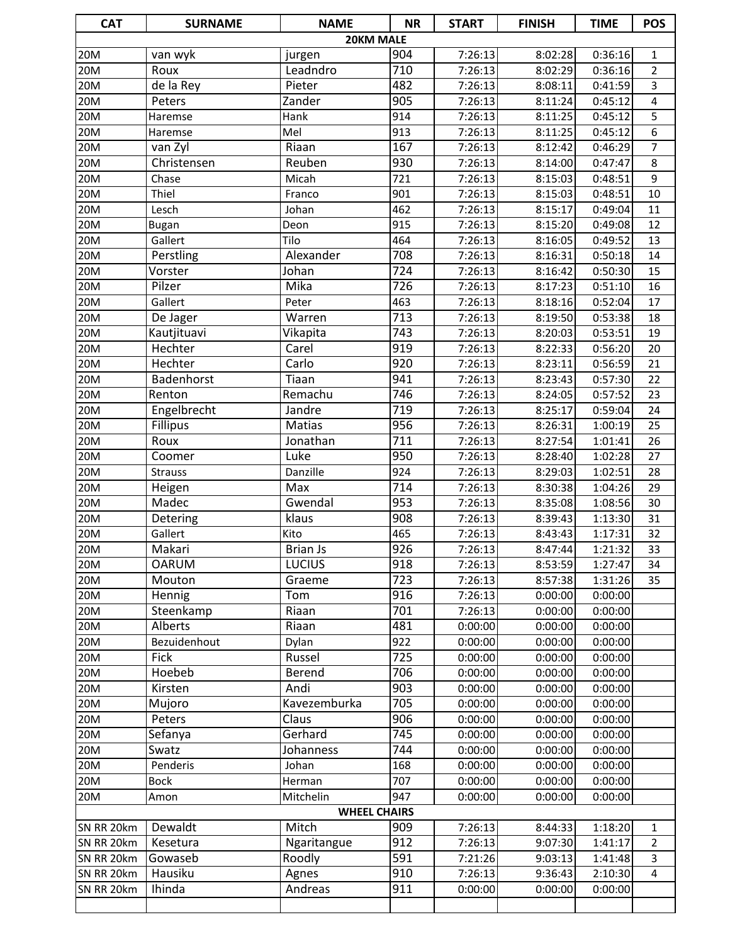| <b>CAT</b>               | <b>SURNAME</b>      | <b>NAME</b>                  | <b>NR</b>        | <b>START</b>       | <b>FINISH</b>      | <b>TIME</b>        | <b>POS</b>                       |
|--------------------------|---------------------|------------------------------|------------------|--------------------|--------------------|--------------------|----------------------------------|
|                          |                     | 20KM MALE                    |                  |                    |                    |                    |                                  |
| 20M                      | van wyk             | jurgen                       | 904              | 7:26:13            | 8:02:28            | 0:36:16            | 1                                |
| 20M                      | Roux                | Leadndro                     | 710              | 7:26:13            | 8:02:29            | 0:36:16            | $\overline{2}$                   |
| 20M                      | $de$ la Rey         | Pieter                       | 482              | 7:26:13            | 8:08:11            | 0:41:59            | 3                                |
| 20M                      | Peters              | Zander                       | $\overline{905}$ | 7:26:13            | 8:11:24            | 0:45:12            | $\overline{4}$                   |
| 20M                      | Haremse             | Hank                         | 914              | 7:26:13            | 8:11:25            | 0:45:12            | $\overline{5}$                   |
| 20M                      | Haremse             | Mel                          | 913              | 7:26:13            | 8:11:25            | 0:45:12            | 6                                |
| 20M                      | van Zyl             | Riaan                        | 167              | 7:26:13            | 8:12:42            | 0:46:29            | 7                                |
| 20M                      | Christensen         | Reuben                       | 930              | 7:26:13            | 8:14:00            | 0:47:47            | 8                                |
| 20M                      | Chase               | Micah                        | 721              | 7:26:13            | 8:15:03            | 0:48:51            | 9                                |
| 20M                      | Thiel               | Franco                       | 901              | 7:26:13            | 8:15:03            | 0:48:51            | 10                               |
| 20M                      | Lesch               | Johan                        | 462              | 7:26:13            | 8:15:17            | 0:49:04            | 11                               |
| 20M                      | <b>Bugan</b>        | Deon                         | 915              | 7:26:13            | 8:15:20            | 0:49:08            | 12                               |
| 20M                      | Gallert             | Tilo                         | 464              | 7:26:13            | 8:16:05            | 0:49:52            | 13                               |
| 20M                      | Perstling           | Alexander                    | 708              | 7:26:13            | 8:16:31            | 0:50:18            | 14                               |
| 20M                      | Vorster             | Johan                        | 724              | 7:26:13            | 8:16:42            | 0:50:30            | 15                               |
| 20M                      | Pilzer              | Mika                         | 726              | 7:26:13            | 8:17:23            | 0:51:10            | 16                               |
| 20M                      | Gallert             | Peter                        | 463              | 7:26:13            | 8:18:16            | 0:52:04            | 17                               |
| 20M                      | De Jager            | Warren                       | $\overline{713}$ | 7:26:13            | 8:19:50            | 0:53:38            | 18                               |
| 20M                      | Kautjituavi         | Vikapita                     | 743              | 7:26:13            | 8:20:03            | 0:53:51            | 19                               |
| 20M                      | Hechter             | Carel                        | 919              | 7:26:13            | 8:22:33            | 0:56:20            | 20                               |
| 20M                      | Hechter             | Carlo                        | 920              | 7:26:13            | 8:23:11            | 0:56:59            | 21                               |
| 20M                      | Badenhorst          | Tiaan                        | 941              | 7:26:13            | 8:23:43            | 0:57:30            | 22                               |
| 20M                      | Renton              | Remachu                      | 746              | 7:26:13            | 8:24:05            | 0:57:52            | $\overline{23}$                  |
| 20M                      | Engelbrecht         | Jandre                       | 719              | 7:26:13            | 8:25:17            | 0:59:04            | 24                               |
| 20M                      | <b>Fillipus</b>     | Matias                       | 956              | 7:26:13            | 8:26:31            | 1:00:19            | 25                               |
| 20M                      | Roux                | Jonathan                     | $\overline{711}$ | 7:26:13            | 8:27:54            | 1:01:41            | 26                               |
| 20M                      | Coomer              | Luke                         | 950              | 7:26:13            | 8:28:40            | 1:02:28            | 27                               |
| 20M                      | <b>Strauss</b>      | Danzille                     | 924              | 7:26:13            | 8:29:03            | 1:02:51            | 28                               |
| 20M                      | Heigen              | Max                          | $\overline{714}$ | 7:26:13            | 8:30:38            | 1:04:26            | 29                               |
| 20M                      | Madec               | Gwendal                      | 953              | 7:26:13            | 8:35:08            | 1:08:56            | 30                               |
| 20M                      | Detering            | klaus                        | $\overline{908}$ | 7:26:13            | 8:39:43            | 1:13:30            | 31                               |
| 20M                      | Gallert             | Kito                         | 465              | 7:26:13            | 8:43:43            | 1:17:31            | 32                               |
| 20M                      | Makari              | <b>Brian Js</b>              | 926              | 7:26:13            | 8:47:44            | 1:21:32            | $\overline{33}$                  |
| 20M                      | <b>OARUM</b>        | <b>LUCIUS</b>                | 918              | 7:26:13            | 8:53:59            | 1:27:47            | 34                               |
| 20M                      | Mouton              | Graeme                       | 723              | 7:26:13            | 8:57:38            | 1:31:26            | 35                               |
| 20M                      | Hennig              | Tom                          | 916              | 7:26:13            | 0:00:00            | 0:00:00            |                                  |
| 20M                      | Steenkamp           | Riaan                        | 701              | 7:26:13            | 0:00:00            | 0:00:00            |                                  |
| 20M                      | Alberts             | Riaan                        | 481              | 0:00:00            | 0:00:00            | 0:00:00            |                                  |
| 20M                      | Bezuidenhout        | Dylan                        | 922              | 0:00:00            | 0:00:00            | 0:00:00            |                                  |
| 20M                      | Fick                | Russel                       | 725              | 0:00:00            | 0:00:00            | 0:00:00            |                                  |
| 20M                      | Hoebeb              | Berend                       | 706              | 0:00:00            | 0:00:00            | 0:00:00<br>0:00:00 |                                  |
| 20M<br>20M               | Kirsten             | Andi                         | 903              | 0:00:00            | 0:00:00            |                    |                                  |
|                          | Mujoro              | Kavezemburka                 | 705              | 0:00:00            | 0:00:00            | 0:00:00            |                                  |
| 20M                      | Peters              | Claus<br>Gerhard             | 906<br>745       | 0:00:00            | 0:00:00            | 0:00:00            |                                  |
| 20M<br>20M               | Sefanya             |                              | 744              | 0:00:00            | 0:00:00            | 0:00:00            |                                  |
| 20M                      | Swatz               | Johanness                    |                  | 0:00:00            | 0:00:00            | 0:00:00<br>0:00:00 |                                  |
|                          | Penderis            | Johan                        | 168              | 0:00:00            | 0:00:00            |                    |                                  |
| 20M                      | <b>Bock</b>         | Herman                       | 707              | 0:00:00            | 0:00:00            | 0:00:00            |                                  |
| 20M                      | Amon                | Mitchelin                    | 947              | 0:00:00            | 0:00:00            | 0:00:00            |                                  |
|                          | Dewaldt             | <b>WHEEL CHAIRS</b><br>Mitch | 909              |                    |                    |                    |                                  |
| SN RR 20km               |                     |                              | 912              | 7:26:13<br>7:26:13 | 8:44:33            | 1:18:20            | $\mathbf{1}$                     |
| SN RR 20km<br>SN RR 20km | Kesetura<br>Gowaseb | Ngaritangue<br>Roodly        | 591              | 7:21:26            | 9:07:30<br>9:03:13 | 1:41:17<br>1:41:48 | $\overline{2}$<br>$\overline{3}$ |
| SN RR 20km               | Hausiku             | Agnes                        | 910              | 7:26:13            | 9:36:43            | 2:10:30            | $\overline{4}$                   |
| SN RR 20km               | Ihinda              | Andreas                      | 911              | 0:00:00            | 0:00:00            | 0:00:00            |                                  |
|                          |                     |                              |                  |                    |                    |                    |                                  |
|                          |                     |                              |                  |                    |                    |                    |                                  |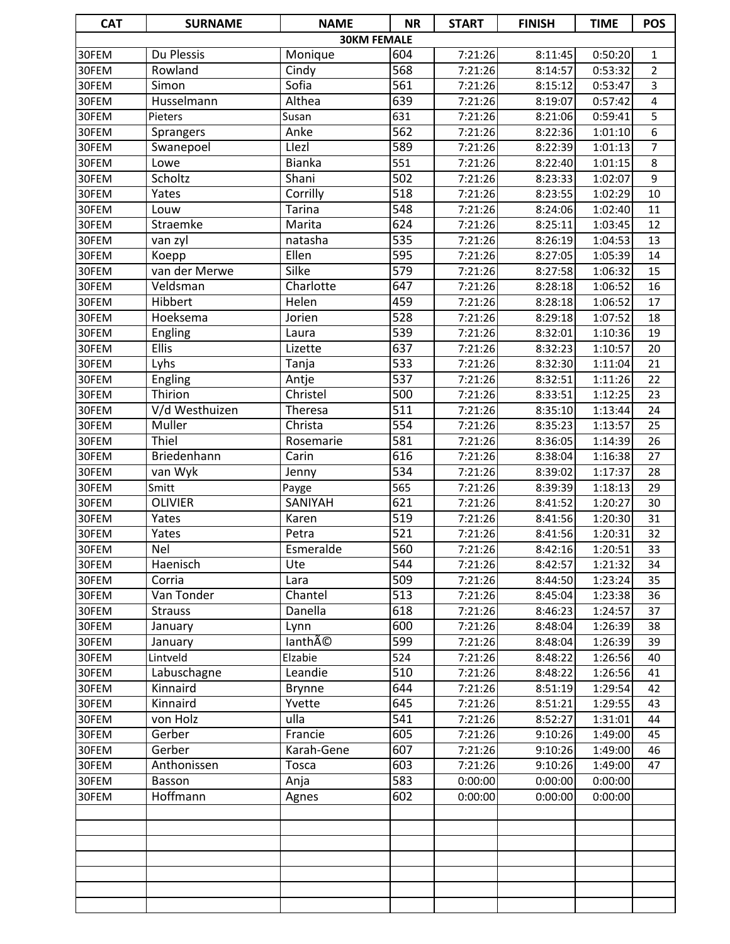| <b>CAT</b> | <b>SURNAME</b>  | <b>NAME</b>        | <b>NR</b>        | <b>START</b> | <b>FINISH</b> | <b>TIME</b> | <b>POS</b>      |
|------------|-----------------|--------------------|------------------|--------------|---------------|-------------|-----------------|
|            |                 | <b>30KM FEMALE</b> |                  |              |               |             |                 |
| 30FEM      | Du Plessis      | Monique            | 604              | 7:21:26      | 8:11:45       | 0:50:20     | 1               |
| 30FEM      | Rowland         | Cindy              | 568              | 7:21:26      | 8:14:57       | 0:53:32     | $\overline{2}$  |
| 30FEM      | Simon           | Sofia              | 561              | 7:21:26      | 8:15:12       | 0:53:47     | 3               |
| 30FEM      | Husselmann      | Althea             | 639              | 7:21:26      | 8:19:07       | 0:57:42     | 4               |
| 30FEM      | Pieters         | Susan              | 631              | 7:21:26      | 8:21:06       | 0:59:41     | 5               |
| 30FEM      | Sprangers       | Anke               | 562              | 7:21:26      | 8:22:36       | 1:01:10     | 6               |
| 30FEM      | Swanepoel       | Llezl              | 589              | 7:21:26      | 8:22:39       | 1:01:13     | $\overline{7}$  |
| 30FEM      | Lowe            | <b>Bianka</b>      | 551              | 7:21:26      | 8:22:40       | 1:01:15     | 8               |
| 30FEM      | Scholtz         | Shani              | 502              | 7:21:26      | 8:23:33       | 1:02:07     | 9               |
| 30FEM      | Yates           | Corrilly           | $\overline{518}$ | 7:21:26      | 8:23:55       | 1:02:29     | 10              |
| 30FEM      | Louw            | <b>Tarina</b>      | $\overline{548}$ | 7:21:26      | 8:24:06       | 1:02:40     | 11              |
| 30FEM      | Straemke        | Marita             | 624              | 7:21:26      | 8:25:11       | 1:03:45     | 12              |
| 30FEM      | van zyl         | natasha            | $\overline{535}$ | 7:21:26      | 8:26:19       | 1:04:53     | 13              |
| 30FEM      | Koepp           | Ellen              | 595              | 7:21:26      | 8:27:05       | 1:05:39     | 14              |
| 30FEM      | van der Merwe   | <b>Silke</b>       | $\overline{579}$ | 7:21:26      | 8:27:58       | 1:06:32     | 15              |
| 30FEM      | Veldsman        | Charlotte          | 647              | 7:21:26      | 8:28:18       | 1:06:52     | 16              |
| 30FEM      | Hibbert         | Helen              | 459              | 7:21:26      | 8:28:18       | 1:06:52     | 17              |
| 30FEM      | <b>Hoeksema</b> | Jorien             | 528              | 7:21:26      | 8:29:18       | 1:07:52     | 18              |
| 30FEM      | <b>Engling</b>  | Laura              | 539              | 7:21:26      | 8:32:01       | 1:10:36     | 19              |
| 30FEM      | Ellis           | Lizette            | 637              | 7:21:26      | 8:32:23       | 1:10:57     | 20              |
| 30FEM      | Lyhs            | Tanja              | 533              | 7:21:26      | 8:32:30       | 1:11:04     | 21              |
| 30FEM      | <b>Engling</b>  | Antje              | $\overline{537}$ | 7:21:26      | 8:32:51       | 1:11:26     | 22              |
| 30FEM      | Thirion         | Christel           | 500              | 7:21:26      | 8:33:51       | 1:12:25     | 23              |
| 30FEM      | V/d Westhuizen  | Theresa            | 511              | 7:21:26      | 8:35:10       | 1:13:44     | 24              |
| 30FEM      | Muller          | Christa            | $\overline{554}$ | 7:21:26      | 8:35:23       | 1:13:57     | 25              |
| 30FEM      | Thiel           | Rosemarie          | 581              | 7:21:26      | 8:36:05       | 1:14:39     | 26              |
| 30FEM      | Briedenhann     | Carin              | 616              | 7:21:26      | 8:38:04       | 1:16:38     | 27              |
| 30FEM      | van Wyk         | Jenny              | 534              | 7:21:26      | 8:39:02       | 1:17:37     | 28              |
| 30FEM      | Smitt           | Payge              | 565              | 7:21:26      | 8:39:39       | 1:18:13     | 29              |
| 30FEM      | <b>OLIVIER</b>  | SANIYAH            | 621              | 7:21:26      | 8:41:52       | 1:20:27     | 30              |
| 30FEM      | <b>Yates</b>    | Karen              | 519              | 7:21:26      | 8:41:56       | 1:20:30     | 31              |
| 30FEM      | Yates           | Petra              | $\overline{521}$ | 7:21:26      | 8:41:56       | 1:20:31     | 32              |
| 30FEM      | Nel             | Esmeralde          | 560              | 7:21:26      | 8:42:16       | 1:20:51     | $\overline{33}$ |
| 30FEM      | Haenisch        | Ute                | 544              | 7:21:26      | 8:42:57       | 1:21:32     | 34              |
| 30FEM      | Corria          | Lara               | 509              | 7:21:26      | 8:44:50       | 1:23:24     | 35              |
| 30FEM      | Van Tonder      | Chantel            | 513              | 7:21:26      | 8:45:04       | 1:23:38     | 36              |
| 30FEM      | <b>Strauss</b>  | Danella            | 618              | 7:21:26      | 8:46:23       | 1:24:57     | 37              |
| 30FEM      | January         | Lynn               | 600              | 7:21:26      | 8:48:04       | 1:26:39     | 38              |
| 30FEM      | January         | lanthé             | 599              | 7:21:26      | 8:48:04       | 1:26:39     | 39              |
| 30FEM      | Lintveld        | Elzabie            | 524              | 7:21:26      | 8:48:22       | 1:26:56     | 40              |
| 30FEM      | Labuschagne     | Leandie            | 510              | 7:21:26      | 8:48:22       | 1:26:56     | 41              |
| 30FEM      | Kinnaird        | <b>Brynne</b>      | 644              | 7:21:26      | 8:51:19       | 1:29:54     | 42              |
| 30FEM      | Kinnaird        | Yvette             | 645              | 7:21:26      | 8:51:21       | 1:29:55     | 43              |
| 30FEM      | von Holz        | ulla               | 541              | 7:21:26      | 8:52:27       | 1:31:01     | 44              |
| 30FEM      | Gerber          | Francie            | 605              | 7:21:26      | 9:10:26       | 1:49:00     | 45              |
| 30FEM      | Gerber          | Karah-Gene         | 607              | 7:21:26      | 9:10:26       | 1:49:00     | 46              |
| 30FEM      | Anthonissen     | Tosca              | 603              | 7:21:26      | 9:10:26       | 1:49:00     | 47              |
| 30FEM      | Basson          | Anja               | 583              | 0:00:00      | 0:00:00       | 0:00:00     |                 |
| 30FEM      | <b>Hoffmann</b> | Agnes              | 602              | 0:00:00      | 0:00:00       | 0:00:00     |                 |
|            |                 |                    |                  |              |               |             |                 |
|            |                 |                    |                  |              |               |             |                 |
|            |                 |                    |                  |              |               |             |                 |
|            |                 |                    |                  |              |               |             |                 |
|            |                 |                    |                  |              |               |             |                 |
|            |                 |                    |                  |              |               |             |                 |
|            |                 |                    |                  |              |               |             |                 |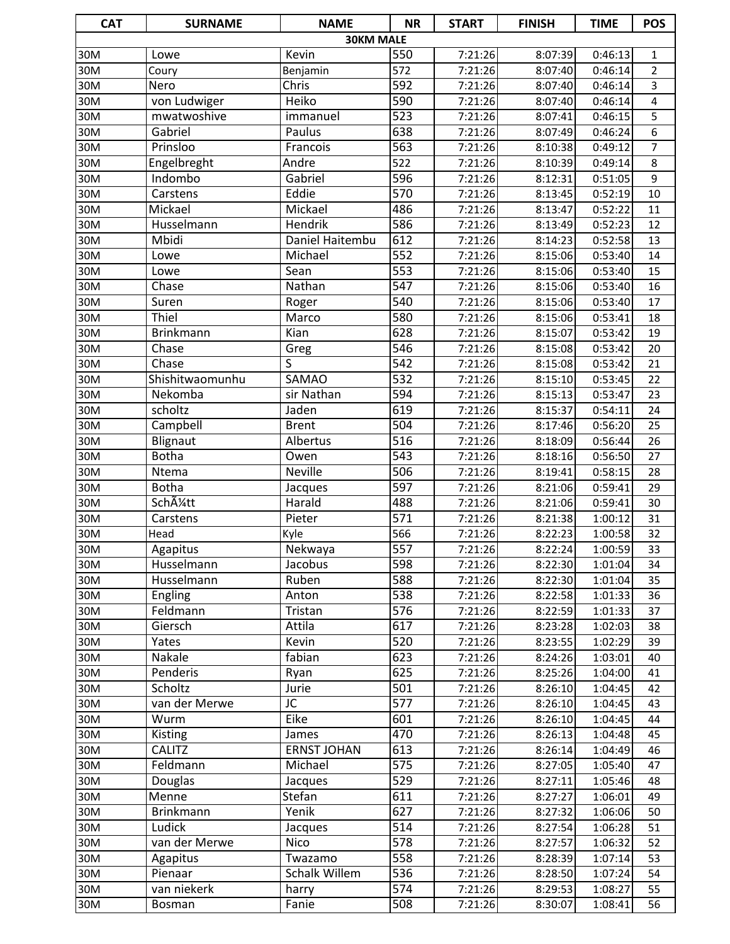| <b>CAT</b>      | <b>SURNAME</b>   | <b>NAME</b>                     | <b>NR</b>               | <b>START</b>       | <b>FINISH</b>      | <b>TIME</b>        | <b>POS</b>      |
|-----------------|------------------|---------------------------------|-------------------------|--------------------|--------------------|--------------------|-----------------|
|                 |                  | <b>30KM MALE</b>                |                         |                    |                    |                    |                 |
| 30M             | Lowe             | Kevin                           | 550                     | 7:21:26            | 8:07:39            | 0:46:13            | 1               |
| 30M             | Coury            | Benjamin                        | 572                     | 7:21:26            | 8:07:40            | 0:46:14            | $\overline{2}$  |
| 30M             | Nero             | Chris                           | 592                     | 7:21:26            | 8:07:40            | 0:46:14            | 3               |
| 30M             | von Ludwiger     | Heiko                           | 590                     | 7:21:26            | 8:07:40            | 0:46:14            | 4               |
| 30M             | mwatwoshive      | immanuel                        | $\overline{523}$        | 7:21:26            | 8:07:41            | 0:46:15            | 5               |
| 30M             | Gabriel          | Paulus                          | 638                     | 7:21:26            | 8:07:49            | 0:46:24            | $\overline{6}$  |
| 30M             | Prinsloo         | Francois                        | $\overline{563}$        | 7:21:26            | 8:10:38            | 0:49:12            | $\overline{7}$  |
| 30M             | Engelbreght      | Andre                           | 522                     | 7:21:26            | 8:10:39            | 0:49:14            | 8               |
| 30M             | Indombo          | Gabriel                         | 596                     | 7:21:26            | 8:12:31            | 0:51:05            | 9               |
| 30M             | Carstens         | Eddie                           | 570                     | 7:21:26            | 8:13:45            | 0:52:19            | 10              |
| $\frac{1}{30M}$ | Mickael          | Mickael                         | 486                     | 7:21:26            | 8:13:47            | 0:52:22            | 11              |
| 30M             | Husselmann       | Hendrik                         | 586                     | 7:21:26            | 8:13:49            | 0:52:23            | 12              |
| 30M             | Mbidi            | Daniel Haitembu                 | 612                     | 7:21:26            | 8:14:23            | 0:52:58            | 13              |
| 30M             | Lowe             | Michael                         | $\overline{552}$        | 7:21:26            | 8:15:06            | 0:53:40            | 14              |
| 30M             | Lowe             | Sean                            | 553                     | 7:21:26            | 8:15:06            | 0:53:40            | 15              |
| 30M             | Chase            | Nathan                          | $\overline{547}$        | 7:21:26            | 8:15:06            | 0:53:40            | 16              |
| 30M             | Suren            | Roger                           | 540                     | 7:21:26            | 8:15:06            | 0:53:40            | 17              |
| 30M             | Thiel            | Marco                           | 580                     | 7:21:26            | 8:15:06            | 0:53:41            | 18              |
| 30M             | <b>Brinkmann</b> | Kian                            | 628                     | 7:21:26            | 8:15:07            | 0:53:42            | 19              |
| 30M<br>30M      | Chase<br>Chase   | Greg<br>$\overline{\mathsf{S}}$ | 546<br>$\overline{542}$ | 7:21:26<br>7:21:26 | 8:15:08<br>8:15:08 | 0:53:42<br>0:53:42 | 20<br>21        |
| 30M             | Shishitwaomunhu  | <b>SAMAO</b>                    | $\overline{532}$        | 7:21:26            | 8:15:10            | 0:53:45            | 22              |
| 30M             | Nekomba          | sir Nathan                      | 594                     | 7:21:26            | 8:15:13            | 0:53:47            | 23              |
| 30M             | scholtz          | Jaden                           | 619                     | 7:21:26            | 8:15:37            | 0:54:11            | 24              |
| 30M             | Campbell         | <b>Brent</b>                    | 504                     | 7:21:26            | 8:17:46            | 0:56:20            | 25              |
| 30M             | Blignaut         | Albertus                        | $\overline{516}$        | 7:21:26            | 8:18:09            | 0:56:44            | 26              |
| 30M             | <b>Botha</b>     | Owen                            | $\overline{543}$        | 7:21:26            | 8:18:16            | 0:56:50            | 27              |
| 30M             | Ntema            | Neville                         | 506                     | 7:21:26            | 8:19:41            | 0:58:15            | 28              |
| 30M             | <b>Botha</b>     | Jacques                         | 597                     | 7:21:26            | 8:21:06            | 0:59:41            | 29              |
| 30M             | Schļtt           | Harald                          | 488                     | 7:21:26            | 8:21:06            | 0:59:41            | 30              |
| 30M             | Carstens         | Pieter                          | 571                     | 7:21:26            | 8:21:38            | 1:00:12            | 31              |
| 30M             | Head             | Kyle                            | 566                     | 7:21:26            | 8:22:23            | 1:00:58            | 32              |
| 30M             | Agapitus         | Nekwaya                         | 557                     | 7:21:26            | 8:22:24            | 1:00:59            | $\overline{33}$ |
| 30M             | Husselmann       | Jacobus                         | 598                     | 7:21:26            | 8:22:30            | 1:01:04            | 34              |
| 30M             | Husselmann       | Ruben                           | 588                     | 7:21:26            | 8:22:30            | 1:01:04            | 35              |
| 30M             | Engling          | Anton                           | 538                     | 7:21:26            | 8:22:58            | 1:01:33            | 36              |
| 30M             | Feldmann         | Tristan                         | 576                     | 7:21:26            | 8:22:59            | 1:01:33            | 37              |
| 30M             | Giersch          | Attila                          | 617                     | 7:21:26            | 8:23:28            | 1:02:03            | 38              |
| 30M             | Yates            | Kevin                           | 520                     | 7:21:26            | 8:23:55            | 1:02:29            | 39              |
| 30M             | Nakale           | fabian                          | 623                     | 7:21:26            | 8:24:26            | 1:03:01            | 40              |
| 30M             | Penderis         | Ryan                            | 625                     | 7:21:26            | 8:25:26            | 1:04:00            | 41              |
| 30M             | Scholtz          | Jurie                           | 501                     | 7:21:26            | 8:26:10            | 1:04:45            | 42              |
| 30M             | van der Merwe    | JC                              | 577                     | 7:21:26            | 8:26:10            | 1:04:45            | 43              |
| 30M             | Wurm             | <b>Eike</b>                     | 601                     | 7:21:26            | 8:26:10            | 1:04:45            | 44              |
| 30M             | <b>Kisting</b>   | James                           | 470                     | 7:21:26            | 8:26:13            | 1:04:48            | 45              |
| 30M             | <b>CALITZ</b>    | <b>ERNST JOHAN</b>              | 613                     | 7:21:26            | 8:26:14            | 1:04:49            | 46              |
| 30M             | Feldmann         | Michael                         | 575                     | 7:21:26            | 8:27:05            | 1:05:40            | 47              |
| 30M             | Douglas          | Jacques                         | 529                     | 7:21:26            | 8:27:11            | 1:05:46            | 48              |
| 30M             | Menne            | Stefan                          | 611                     | 7:21:26            | 8:27:27            | 1:06:01            | 49              |
| 30M             | <b>Brinkmann</b> | Yenik                           | 627                     | 7:21:26            | 8:27:32            | 1:06:06            | 50              |
| 30M             | Ludick           | Jacques                         | 514                     | 7:21:26            | 8:27:54            | 1:06:28            | 51              |
| 30M             | van der Merwe    | <b>Nico</b>                     | 578                     | 7:21:26            | 8:27:57            | 1:06:32            | 52              |
| 30M             | Agapitus         | Twazamo                         | 558                     | 7:21:26            | 8:28:39            | 1:07:14            | 53              |
| 30M             | Pienaar          | Schalk Willem                   | 536                     | 7:21:26            | 8:28:50            | 1:07:24            | 54              |
| 30M             | van niekerk      | harry                           | 574                     | 7:21:26            | 8:29:53            | 1:08:27            | 55              |
| 30M             | Bosman           | Fanie                           | 508                     | 7:21:26            | 8:30:07            | 1:08:41            | 56              |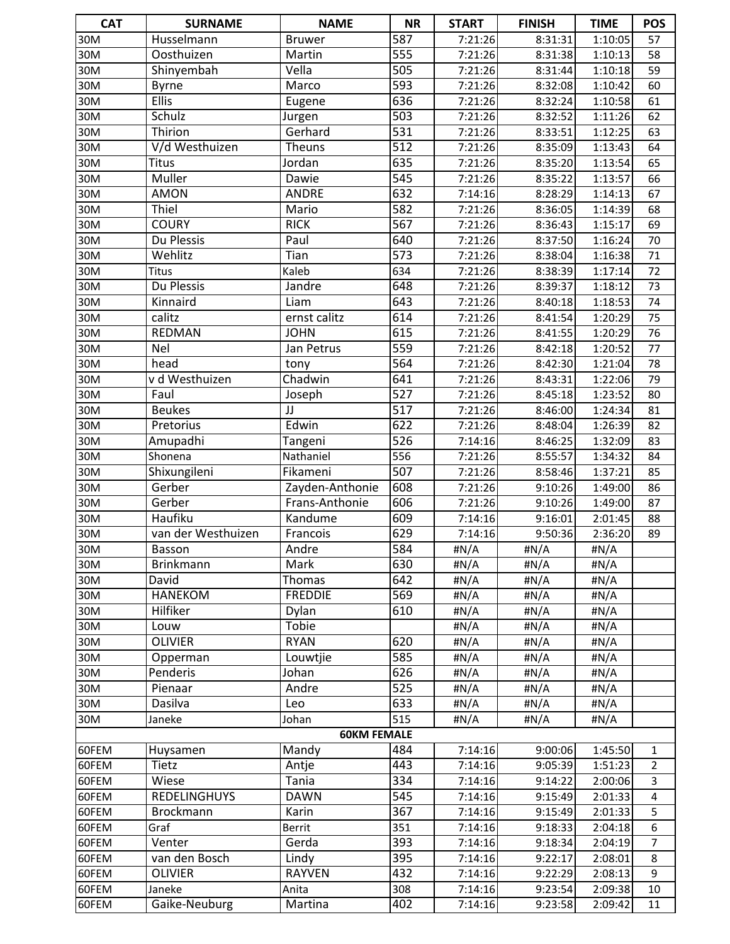| <b>CAT</b>        | <b>SURNAME</b>         | <b>NAME</b>          | <b>NR</b>        | <b>START</b> | <b>FINISH</b> | <b>TIME</b>          | <b>POS</b>      |
|-------------------|------------------------|----------------------|------------------|--------------|---------------|----------------------|-----------------|
| 30M               | Husselmann             | <b>Bruwer</b>        | 587              | 7:21:26      | 8:31:31       | 1:10:05              | 57              |
| 30M               | Oosthuizen             | Martin               | $\overline{555}$ | 7:21:26      | 8:31:38       | 1:10:13              | 58              |
| 30M               | Shinyembah             | Vella                | 505              | 7:21:26      | 8:31:44       | 1:10:18              | 59              |
| 30M               | <b>Byrne</b>           | Marco                | 593              | 7:21:26      | 8:32:08       | 1:10:42              | 60              |
| 30M               | <b>Ellis</b>           | Eugene               | 636              | 7:21:26      | 8:32:24       | 1:10:58              | 61              |
| $\overline{3}$ OM | Schulz                 | Jurgen               | $\overline{503}$ | 7:21:26      | 8:32:52       | 1:11:26              | 62              |
| 30M               | Thirion                | Gerhard              | 531              | 7:21:26      | 8:33:51       | 1:12:25              | 63              |
| 30M               | V/d Westhuizen         | <b>Theuns</b>        | $\overline{512}$ | 7:21:26      | 8:35:09       | 1:13:43              | 64              |
| 30M               | <b>Titus</b>           | Jordan               | 635              | 7:21:26      | 8:35:20       | 1:13:54              | 65              |
| 30M               | Muller                 | Dawie                | $\overline{545}$ | 7:21:26      | 8:35:22       | 1:13:57              | 66              |
| 30M               | <b>AMON</b>            | <b>ANDRE</b>         | 632              | 7:14:16      | 8:28:29       | 1:14:13              | 67              |
| 30M               | Thiel                  | Mario                | 582              | 7:21:26      | 8:36:05       | 1:14:39              | 68              |
| 30M               | <b>COURY</b>           | <b>RICK</b>          | $\overline{567}$ | 7:21:26      | 8:36:43       | 1:15:17              | 69              |
| 30M               | Du Plessis             | Paul                 | 640              | 7:21:26      | 8:37:50       | 1:16:24              | 70              |
| 30M               | Wehlitz                | Tian                 | $\overline{573}$ | 7:21:26      | 8:38:04       | 1:16:38              | 71              |
| 30M               | <b>Titus</b>           | Kaleb                | 634              | 7:21:26      | 8:38:39       | 1:17:14              | $\overline{72}$ |
| 30M               | Du Plessis             | Jandre               | 648              | 7:21:26      | 8:39:37       | 1:18:12              | 73              |
| 30M               | Kinnaird               | Liam                 | $\overline{643}$ | 7:21:26      | 8:40:18       | 1:18:53              | 74              |
| 30M               | calitz                 | ernst calitz         | 614              | 7:21:26      | 8:41:54       | 1:20:29              | $\overline{75}$ |
| 30M               | REDMAN                 | <b>JOHN</b>          | 615              | 7:21:26      | 8:41:55       | 1:20:29              | 76              |
| 30M               | <b>Nel</b>             | Jan Petrus           | 559              | 7:21:26      | 8:42:18       | 1:20:52              | 77              |
| 30M               | head                   | tony                 | 564              | 7:21:26      | 8:42:30       | 1:21:04              | 78              |
| 30M               | v d Westhuizen         | Chadwin              | 641              | 7:21:26      | 8:43:31       | 1:22:06              | 79              |
| 30M               | Faul                   | Joseph               | $\overline{527}$ | 7:21:26      | 8:45:18       | 1:23:52              | 80              |
| 30M               | <b>Beukes</b>          | JJ                   | $\overline{517}$ | 7:21:26      | 8:46:00       | 1:24:34              | 81              |
| 30M               | Pretorius              | Edwin                | 622              | 7:21:26      | 8:48:04       | 1:26:39              | 82              |
| 30M               | Amupadhi               | Tangeni              | 526              | 7:14:16      | 8:46:25       | 1:32:09              | 83              |
| 30M               | Shonena                | Nathaniel            | 556              | 7:21:26      | 8:55:57       | 1:34:32              | 84              |
| 30M               | Shixungileni           | Fikameni             | 507              | 7:21:26      | 8:58:46       | 1:37:21              | 85              |
| 30M               | Gerber                 | Zayden-Anthonie      | 608              | 7:21:26      | 9:10:26       | 1:49:00              | 86              |
| 30M               | Gerber                 | Frans-Anthonie       | 606              | 7:21:26      | 9:10:26       | 1:49:00              | 87              |
| 30M               | Haufiku                | Kandume              | 609              | 7:14:16      | 9:16:01       | 2:01:45              | 88              |
| 30M               | van der Westhuizen     | Francois             | 629              | 7:14:16      | 9:50:36       | 2:36:20              | 89              |
| 30M               | Basson                 | Andre                | 584              | #N/A         | #N/A          | #N/A                 |                 |
| 30M               | <b>Brinkmann</b>       | Mark                 | 630              | #N/A         | #N/A          | # $N/A$              |                 |
| 30M               | David                  | Thomas               | 642              | #N/A         | #N/A          | #N/A                 |                 |
| 30M               | <b>HANEKOM</b>         | <b>FREDDIE</b>       | 569              | #N/A         | #N/A          | #N/A                 |                 |
| 30M               | Hilfiker               | Dylan                | 610              | #N/A         | #N/A          | $\sharp N/A$         |                 |
| 30M               | Louw<br><b>OLIVIER</b> | Tobie<br><b>RYAN</b> | 620              | #N/A         | #N/A          | #N/A                 |                 |
| 30M<br>30M        |                        | Louwtjie             | 585              | #N/A         | #N/A<br>#N/A  | #N/A<br>$\sharp N/A$ |                 |
| 30M               | Opperman<br>Penderis   | Johan                | 626              | #N/A<br>#N/A | #N/A          | #N/A                 |                 |
| 30M               | Pienaar                | Andre                | 525              | #N/A         | #N/A          | #N/A                 |                 |
| 30M               | Dasilva                | Leo                  | 633              | #N/A         | #N/A          | $\sharp N/A$         |                 |
| 30M               | Janeke                 | Johan                | 515              | #N/A         | #N/A          | #N/A                 |                 |
|                   |                        | <b>60KM FEMALE</b>   |                  |              |               |                      |                 |
| 60FEM             | Huysamen               | Mandy                | 484              | 7:14:16      | 9:00:06       | 1:45:50              | 1               |
| 60FEM             | Tietz                  | Antje                | 443              | 7:14:16      | 9:05:39       | 1:51:23              | $\overline{2}$  |
| 60FEM             | Wiese                  | Tania                | 334              | 7:14:16      | 9:14:22       | 2:00:06              | 3               |
| 60FEM             | REDELINGHUYS           | <b>DAWN</b>          | 545              | 7:14:16      | 9:15:49       | 2:01:33              | 4               |
| 60FEM             | <b>Brockmann</b>       | Karin                | 367              | 7:14:16      | 9:15:49       | 2:01:33              | 5               |
| 60FEM             | Graf                   | Berrit               | 351              | 7:14:16      | 9:18:33       | 2:04:18              | 6               |
| 60FEM             | Venter                 | Gerda                | 393              | 7:14:16      | 9:18:34       | 2:04:19              | $\overline{7}$  |
| 60FEM             | van den Bosch          | Lindy                | 395              | 7:14:16      | 9:22:17       | 2:08:01              | 8               |
| 60FEM             | <b>OLIVIER</b>         | <b>RAYVEN</b>        | 432              | 7:14:16      | 9:22:29       | 2:08:13              | 9               |
| 60FEM             | Janeke                 | Anita                | 308              | 7:14:16      | 9:23:54       | 2:09:38              | $10\,$          |
| 60FEM             | Gaike-Neuburg          | Martina              | 402              | 7:14:16      | 9:23:58       | 2:09:42              | 11              |
|                   |                        |                      |                  |              |               |                      |                 |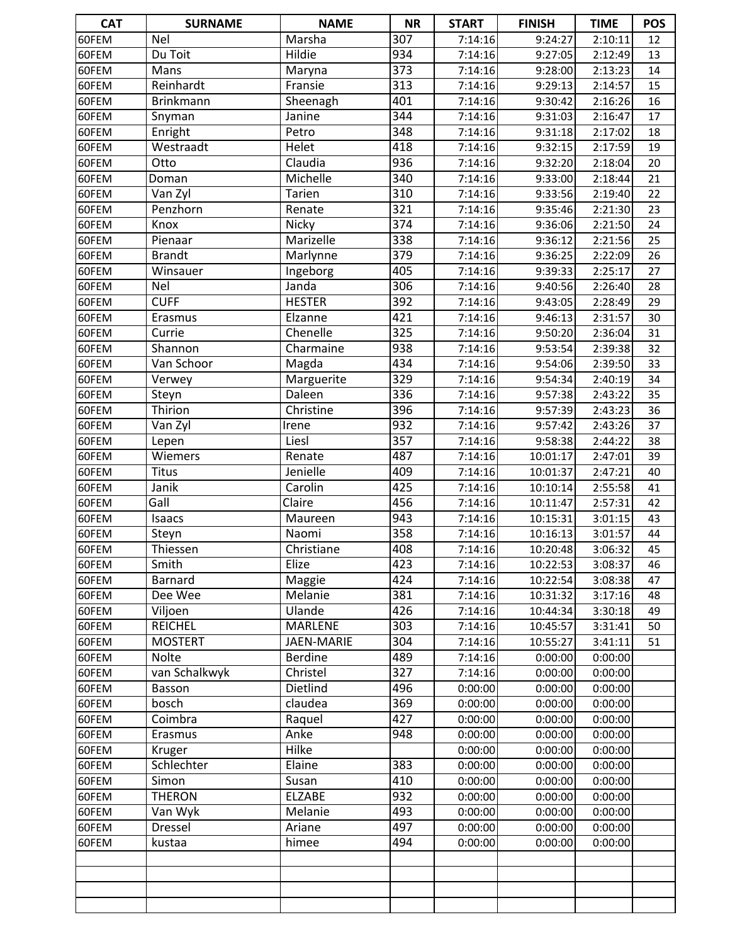| <b>CAT</b>     | <b>SURNAME</b>            | <b>NAME</b>    | <b>NR</b> | <b>START</b>       | <b>FINISH</b>      | <b>TIME</b>        | <b>POS</b>      |
|----------------|---------------------------|----------------|-----------|--------------------|--------------------|--------------------|-----------------|
| 60FEM          | <b>Nel</b>                | Marsha         | 307       | 7:14:16            | 9:24:27            | 2:10:11            | 12              |
| 60FEM          | Du Toit                   | Hildie         | 934       | 7:14:16            | 9:27:05            | 2:12:49            | 13              |
| 60FEM          | Mans                      | Maryna         | 373       | 7:14:16            | 9:28:00            | 2:13:23            | 14              |
| 60FEM          | Reinhardt                 | Fransie        | 313       | 7:14:16            | 9:29:13            | 2:14:57            | 15              |
| 60FEM          | <b>Brinkmann</b>          | Sheenagh       | 401       | 7:14:16            | 9:30:42            | 2:16:26            | 16              |
| 60FEM          | Snyman                    | Janine         | 344       | 7:14:16            | 9:31:03            | 2:16:47            | 17              |
| 60FEM          | Enright                   | Petro          | 348       | 7:14:16            | 9:31:18            | 2:17:02            | 18              |
| 60FEM          | Westraadt                 | Helet          | 418       | 7:14:16            | 9:32:15            | 2:17:59            | 19              |
| 60FEM          | Otto                      | Claudia        | 936       | 7:14:16            | 9:32:20            | 2:18:04            | 20              |
| 60FEM          | Doman                     | Michelle       | 340       | 7:14:16            | 9:33:00            | 2:18:44            | 21              |
| 60FEM          | Van Zyl                   | Tarien         | 310       | 7:14:16            | 9:33:56            | 2:19:40            | 22              |
| 60FEM          | Penzhorn                  | Renate         | 321       | 7:14:16            | 9:35:46            | 2:21:30            | $\overline{23}$ |
| 60FEM          | Knox                      | Nicky          | 374       | 7:14:16            | 9:36:06            | 2:21:50            | 24              |
| 60FEM          | Pienaar                   | Marizelle      | 338       | 7:14:16            | 9:36:12            | 2:21:56            | 25              |
| 60FEM          | <b>Brandt</b>             | Marlynne       | 379       | 7:14:16            | 9:36:25            | 2:22:09            | 26              |
| 60FEM          | Winsauer                  | Ingeborg       | 405       | 7:14:16            | 9:39:33            | 2:25:17            | 27              |
| 60FEM          | Nel                       | Janda          | 306       | 7:14:16            | 9:40:56            | 2:26:40            | 28              |
| 60FEM          | <b>CUFF</b>               | <b>HESTER</b>  | 392       | 7:14:16            | 9:43:05            | 2:28:49            | 29              |
| 60FEM          | Erasmus                   | Elzanne        | 421       | 7:14:16            | 9:46:13            | 2:31:57            | 30              |
| 60FEM          | Currie                    | Chenelle       | 325       | 7:14:16            | 9:50:20            | 2:36:04            | 31              |
| 60FEM          | Shannon                   | Charmaine      | 938       | 7:14:16            | 9:53:54            | 2:39:38            | 32              |
| 60FEM          | Van Schoor                | Magda          | 434       | 7:14:16            | 9:54:06            | 2:39:50            | 33              |
| 60FEM          | Verwey                    | Marguerite     | 329       | 7:14:16            | 9:54:34            | 2:40:19            | 34              |
| 60FEM          | Steyn                     | Daleen         | 336       | 7:14:16            | 9:57:38            | 2:43:22            | 35              |
| 60FEM          | Thirion                   | Christine      | 396       | 7:14:16            | 9:57:39            | 2:43:23            | 36              |
| 60FEM          | Van Zyl                   | Irene          | 932       | 7:14:16            | 9:57:42            | 2:43:26            | 37              |
| 60FEM          | Lepen                     | Liesl          | 357       | 7:14:16            | 9:58:38            | 2:44:22            | 38              |
| 60FEM          | Wiemers                   | Renate         | 487       | 7:14:16            | 10:01:17           | 2:47:01            | 39              |
| 60FEM          | <b>Titus</b>              | Jenielle       | 409       | 7:14:16            | 10:01:37           | 2:47:21            | 40              |
| 60FEM          | Janik                     | Carolin        | 425       | 7:14:16            | 10:10:14           | 2:55:58            | 41              |
| 60FEM          | Gall                      | Claire         | 456       | 7:14:16            | 10:11:47           | 2:57:31            | 42              |
| 60FEM          | Isaacs                    | Maureen        | 943       | 7:14:16            | 10:15:31           | 3:01:15            | 43              |
| 60FEM          | Steyn                     | Naomi          | 358       | 7:14:16            | 10:16:13           | 3:01:57            | 44              |
| 60FEM          | Thiessen                  | Christiane     | 408       | 7:14:16            | 10:20:48           | 3:06:32            | 45              |
| 60FEM          | Smith                     | Elize          | 423       | 7:14:16            | 10:22:53           | 3:08:37            | 46              |
| 60FEM          | Barnard                   | Maggie         | 424       | 7:14:16            | 10:22:54           | 3:08:38            | 47              |
| 60FEM          | Dee Wee                   | Melanie        | 381       | 7:14:16            | 10:31:32           | 3:17:16            | 48              |
| 60FEM          | Viljoen                   | Ulande         | 426       | 7:14:16            | 10:44:34           | 3:30:18            | 49              |
| 60FEM          | <b>REICHEL</b>            | <b>MARLENE</b> | 303       | 7:14:16            | 10:45:57           | 3:31:41            | 50              |
| 60FEM          | <b>MOSTERT</b>            | JAEN-MARIE     | 304       | 7:14:16            | 10:55:27           | 3:41:11            | 51              |
| 60FEM          | <b>Nolte</b>              | Berdine        | 489       | 7:14:16            | 0:00:00            | 0:00:00            |                 |
| 60FEM          | van Schalkwyk             | Christel       | 327       | 7:14:16            | 0:00:00            | 0:00:00            |                 |
| 60FEM          | Basson                    | Dietlind       | 496       | 0:00:00            | 0:00:00            | 0:00:00            |                 |
| 60FEM          | bosch                     | claudea        | 369       | 0:00:00            | 0:00:00            | 0:00:00            |                 |
| 60FEM          | Coimbra                   | Raquel         | 427       | 0:00:00            | 0:00:00            | 0:00:00            |                 |
| 60FEM          | Erasmus                   | Anke           | 948       | 0:00:00            | 0:00:00            | 0:00:00            |                 |
| 60FEM          | Kruger                    | Hilke          |           | 0:00:00            | 0:00:00            | 0:00:00            |                 |
| 60FEM          | Schlechter                | Elaine         | 383       | 0:00:00            | 0:00:00            | 0:00:00            |                 |
| 60FEM          | Simon                     | Susan          | 410       | 0:00:00            | 0:00:00            | 0:00:00            |                 |
| 60FEM          | <b>THERON</b>             | <b>ELZABE</b>  | 932       | 0:00:00            | 0:00:00            | 0:00:00            |                 |
|                |                           | Melanie        | 493       |                    |                    |                    |                 |
| 60FEM<br>60FEM | Van Wyk<br><b>Dressel</b> | Ariane         | 497       | 0:00:00<br>0:00:00 | 0:00:00<br>0:00:00 | 0:00:00<br>0:00:00 |                 |
| 60FEM          |                           | himee          | 494       |                    |                    | 0:00:00            |                 |
|                | kustaa                    |                |           | 0:00:00            | 0:00:00            |                    |                 |
|                |                           |                |           |                    |                    |                    |                 |
|                |                           |                |           |                    |                    |                    |                 |
|                |                           |                |           |                    |                    |                    |                 |
|                |                           |                |           |                    |                    |                    |                 |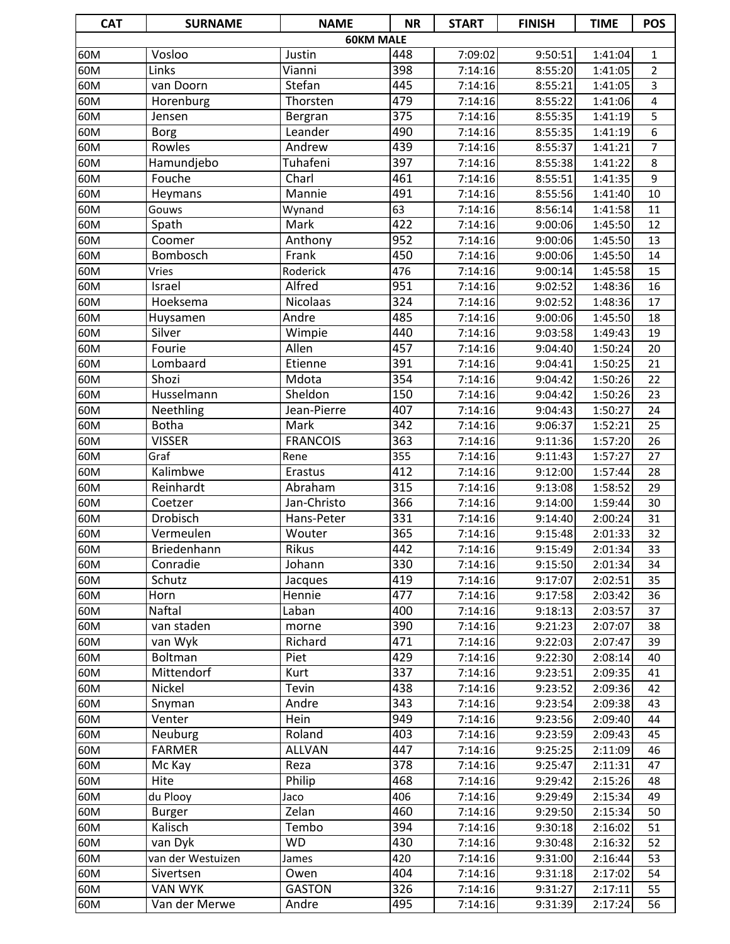| <b>CAT</b> | <b>SURNAME</b>    | <b>NAME</b>     | <b>NR</b>        | <b>START</b>       | <b>FINISH</b>      | <b>TIME</b>        | <b>POS</b>     |
|------------|-------------------|-----------------|------------------|--------------------|--------------------|--------------------|----------------|
|            |                   |                 | <b>60KM MALE</b> |                    |                    |                    |                |
| 60M        | Vosloo            | Justin          | 448              | 7:09:02            | 9:50:51            | 1:41:04            | 1              |
| 60M        | Links             | Vianni          | 398              | 7:14:16            | 8:55:20            | 1:41:05            | $\overline{2}$ |
| 60M        | van Doorn         | Stefan          | 445              | 7:14:16            | 8:55:21            | 1:41:05            | 3              |
| 60M        | Horenburg         | Thorsten        | 479              | 7:14:16            | 8:55:22            | 1:41:06            | 4              |
| 60M        | Jensen            | Bergran         | $\overline{375}$ | 7:14:16            | 8:55:35            | 1:41:19            | 5              |
| 60M        | <b>Borg</b>       | Leander         | 490              | 7:14:16            | 8:55:35            | 1:41:19            | $\overline{6}$ |
| 60M        | Rowles            | Andrew          | 439              | 7:14:16            | 8:55:37            | 1:41:21            | $\overline{7}$ |
| 60M        | Hamundjebo        | Tuhafeni        | 397              | 7:14:16            | 8:55:38            | 1:41:22            | 8              |
| 60M        | Fouche            | Charl           | 461              | 7:14:16            | 8:55:51            | 1:41:35            | 9              |
| 60M        | Heymans           | Mannie          | 491              | 7:14:16            | 8:55:56            | 1:41:40            | 10             |
| 60M        | Gouws             | Wynand          | 63               | 7:14:16            | 8:56:14            | 1:41:58            | 11             |
| 60M        | Spath             | Mark            | 422              | 7:14:16            | 9:00:06            | 1:45:50            | 12             |
| 60M        | Coomer            | Anthony         | 952              | 7:14:16            | 9:00:06            | 1:45:50            | 13             |
| 60M        | Bombosch          | Frank           | 450              | 7:14:16            | 9:00:06            | 1:45:50            | 14             |
| 60M        | Vries             | Roderick        | 476              | 7:14:16            | 9:00:14            | 1:45:58            | 15             |
| 60M        | Israel            | Alfred          | $\overline{951}$ | 7:14:16            | 9:02:52            | 1:48:36            | 16             |
| 60M        | Hoeksema          | <b>Nicolaas</b> | 324              | 7:14:16            | 9:02:52            | 1:48:36            | 17             |
| 60M        | Huysamen          | Andre           | 485              | 7:14:16            | 9:00:06            | 1:45:50            | 18             |
| 60M        | Silver<br>Fourie  | Wimpie<br>Allen | 440<br>457       | 7:14:16            | 9:03:58            | 1:49:43            | 19             |
| 60M<br>60M | Lombaard          | Etienne         | 391              | 7:14:16<br>7:14:16 | 9:04:40<br>9:04:41 | 1:50:24<br>1:50:25 | 20<br>21       |
| 60M        | Shozi             | Mdota           | $\overline{354}$ | 7:14:16            | 9:04:42            | 1:50:26            | 22             |
| 60M        | Husselmann        | Sheldon         | 150              | 7:14:16            | 9:04:42            | 1:50:26            | 23             |
| 60M        | Neethling         | Jean-Pierre     | 407              | 7:14:16            | 9:04:43            | 1:50:27            | 24             |
| 60M        | <b>Botha</b>      | Mark            | 342              | 7:14:16            | 9:06:37            | 1:52:21            | 25             |
| 60M        | <b>VISSER</b>     | <b>FRANCOIS</b> | 363              | 7:14:16            | 9:11:36            | 1:57:20            | 26             |
| 60M        | Graf              | Rene            | 355              | 7:14:16            | 9:11:43            | 1:57:27            | 27             |
| 60M        | Kalimbwe          | Erastus         | 412              | 7:14:16            | 9:12:00            | 1:57:44            | 28             |
| 60M        | Reinhardt         | Abraham         | 315              | 7:14:16            | 9:13:08            | 1:58:52            | 29             |
| 60M        | Coetzer           | Jan-Christo     | 366              | 7:14:16            | 9:14:00            | 1:59:44            | 30             |
| 60M        | Drobisch          | Hans-Peter      | 331              | 7:14:16            | 9:14:40            | 2:00:24            | 31             |
| 60M        | Vermeulen         | Wouter          | 365              | 7:14:16            | 9:15:48            | 2:01:33            | 32             |
| 60M        | Briedenhann       | Rikus           | 442              | 7:14:16            | 9:15:49            | 2:01:34            | 33             |
| 60M        | Conradie          | Johann          | 330              | 7:14:16            | 9:15:50            | 2:01:34            | 34             |
| 60M        | Schutz            | Jacques         | 419              | 7:14:16            | 9:17:07            | 2:02:51            | 35             |
| 60M        | Horn              | Hennie          | 477              | 7:14:16            | 9:17:58            | 2:03:42            | 36             |
| 60M        | Naftal            | Laban           | 400              | 7:14:16            | 9:18:13            | 2:03:57            | 37             |
| 60M        | van staden        | morne           | 390              | 7:14:16            | 9:21:23            | 2:07:07            | 38             |
| 60M        | van Wyk           | Richard         | 471              | 7:14:16            | 9:22:03            | 2:07:47            | 39             |
| 60M        | Boltman           | Piet            | 429              | 7:14:16            | 9:22:30            | 2:08:14            | 40             |
| 60M        | Mittendorf        | Kurt            | 337              | 7:14:16            | 9:23:51            | 2:09:35            | 41             |
| 60M        | Nickel            | Tevin           | 438              | 7:14:16            | 9:23:52            | 2:09:36            | 42             |
| 60M        | Snyman            | Andre           | 343              | 7:14:16            | 9:23:54            | 2:09:38            | 43             |
| 60M        | Venter            | Hein            | 949              | 7:14:16            | 9:23:56            | 2:09:40            | 44             |
| 60M        | Neuburg           | Roland          | 403              | 7:14:16            | 9:23:59            | 2:09:43            | 45             |
| 60M        | <b>FARMER</b>     | <b>ALLVAN</b>   | 447              | 7:14:16            | 9:25:25            | 2:11:09            | 46             |
| 60M        | Mc Kay            | Reza            | 378              | 7:14:16            | 9:25:47            | 2:11:31            | 47             |
| 60M        | Hite              | Philip          | 468              | 7:14:16            | 9:29:42            | 2:15:26            | 48             |
| 60M        | du Plooy          | Jaco            | 406              | 7:14:16            | 9:29:49            | 2:15:34            | 49             |
| 60M        | <b>Burger</b>     | Zelan           | 460              | 7:14:16            | 9:29:50            | 2:15:34            | 50             |
| 60M        | Kalisch           | Tembo           | 394              | 7:14:16            | 9:30:18            | 2:16:02            | 51             |
| 60M        | van Dyk           | <b>WD</b>       | 430              | 7:14:16            | 9:30:48            | 2:16:32            | 52             |
| 60M        | van der Westuizen | James           | 420              | 7:14:16            | 9:31:00            | 2:16:44            | 53             |
| 60M        | Sivertsen         | Owen            | 404              | 7:14:16            | 9:31:18            | 2:17:02            | 54             |
| 60M        | <b>VAN WYK</b>    | <b>GASTON</b>   | 326              | 7:14:16            | 9:31:27            | 2:17:11            | 55             |
| 60M        | Van der Merwe     | Andre           | 495              | 7:14:16            | 9:31:39            | 2:17:24            | 56             |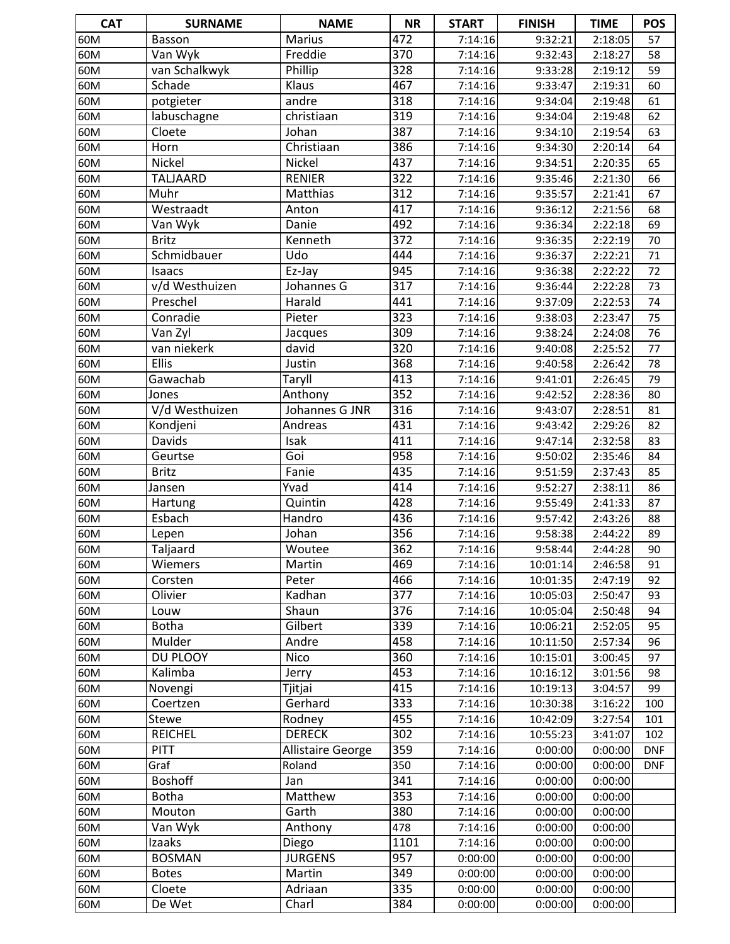| <b>CAT</b> | <b>SURNAME</b>  | <b>NAME</b>       | <b>NR</b> | <b>START</b> | <b>FINISH</b> | <b>TIME</b> | <b>POS</b> |
|------------|-----------------|-------------------|-----------|--------------|---------------|-------------|------------|
| 60M        | Basson          | Marius            | 472       | 7:14:16      | 9:32:21       | 2:18:05     | 57         |
| 60M        | Van Wyk         | Freddie           | 370       | 7:14:16      | 9:32:43       | 2:18:27     | 58         |
| 60M        | van Schalkwyk   | Phillip           | 328       | 7:14:16      | 9:33:28       | 2:19:12     | 59         |
| 60M        | Schade          | Klaus             | 467       | 7:14:16      | 9:33:47       | 2:19:31     | 60         |
| 60M        | potgieter       | andre             | 318       | 7:14:16      | 9:34:04       | 2:19:48     | 61         |
| 60M        | labuschagne     | christiaan        | 319       | 7:14:16      | 9:34:04       | 2:19:48     | 62         |
| 60M        | Cloete          | Johan             | 387       | 7:14:16      | 9:34:10       | 2:19:54     | 63         |
| 60M        | Horn            | Christiaan        | 386       | 7:14:16      | 9:34:30       | 2:20:14     | 64         |
| 60M        | <b>Nickel</b>   | Nickel            | 437       | 7:14:16      | 9:34:51       | 2:20:35     | 65         |
| 60M        | <b>TALJAARD</b> | <b>RENIER</b>     | 322       | 7:14:16      | 9:35:46       | 2:21:30     | 66         |
| 60M        | Muhr            | Matthias          | 312       | 7:14:16      | 9:35:57       | 2:21:41     | 67         |
| 60M        | Westraadt       | Anton             | 417       | 7:14:16      | 9:36:12       | 2:21:56     | 68         |
| 60M        | Van Wyk         | Danie             | 492       | 7:14:16      | 9:36:34       | 2:22:18     | 69         |
| 60M        | <b>Britz</b>    | Kenneth           | 372       | 7:14:16      | 9:36:35       | 2:22:19     | 70         |
| 60M        | Schmidbauer     | Udo               | 444       | 7:14:16      | 9:36:37       | 2:22:21     | 71         |
| 60M        | Isaacs          | Ez-Jay            | 945       | 7:14:16      | 9:36:38       | 2:22:22     | 72         |
| 60M        | v/d Westhuizen  | Johannes G        | 317       | 7:14:16      | 9:36:44       | 2:22:28     | 73         |
| 60M        | Preschel        | Harald            | 441       | 7:14:16      | 9:37:09       | 2:22:53     | 74         |
| 60M        | Conradie        | Pieter            | 323       | 7:14:16      | 9:38:03       | 2:23:47     | 75         |
| 60M        | Van Zyl         | Jacques           | 309       | 7:14:16      | 9:38:24       | 2:24:08     | 76         |
| 60M        | van niekerk     | david             | 320       | 7:14:16      | 9:40:08       | 2:25:52     | 77         |
| 60M        | Ellis           | Justin            | 368       | 7:14:16      | 9:40:58       | 2:26:42     | 78         |
| 60M        | Gawachab        | Taryll            | 413       | 7:14:16      | 9:41:01       | 2:26:45     | 79         |
| 60M        | Jones           | Anthony           | 352       | 7:14:16      | 9:42:52       | 2:28:36     | 80         |
| 60M        | V/d Westhuizen  | Johannes G JNR    | 316       | 7:14:16      | 9:43:07       | 2:28:51     | 81         |
| 60M        | Kondjeni        | Andreas           | 431       | 7:14:16      | 9:43:42       | 2:29:26     | 82         |
| 60M        | Davids          | Isak              | 411       | 7:14:16      | 9:47:14       | 2:32:58     | 83         |
| 60M        | Geurtse         | Goi               | 958       | 7:14:16      | 9:50:02       | 2:35:46     | 84         |
| 60M        | <b>Britz</b>    | Fanie             | 435       | 7:14:16      | 9:51:59       | 2:37:43     | 85         |
| 60M        | Jansen          | Yvad              | 414       | 7:14:16      | 9:52:27       | 2:38:11     | 86         |
| 60M        | Hartung         | Quintin           | 428       | 7:14:16      | 9:55:49       | 2:41:33     | 87         |
| 60M        | Esbach          | Handro            | 436       | 7:14:16      | 9:57:42       | 2:43:26     | 88         |
| 60M        | Lepen           | Johan             | 356       | 7:14:16      | 9:58:38       | 2:44:22     | 89         |
| 60M        | Taljaard        | Woutee            | 362       | 7:14:16      | 9:58:44       | 2:44:28     | 90         |
| 60M        | Wiemers         | Martin            | 469       | 7:14:16      | 10:01:14      | 2:46:58     | 91         |
| 60M        | Corsten         | Peter             | 466       | 7:14:16      | 10:01:35      | 2:47:19     | 92         |
| 60M        | Olivier         | Kadhan            | 377       | 7:14:16      | 10:05:03      | 2:50:47     | 93         |
| 60M        | Louw            | Shaun             | 376       | 7:14:16      | 10:05:04      | 2:50:48     | 94         |
| 60M        | <b>Botha</b>    | Gilbert           | 339       | 7:14:16      | 10:06:21      | 2:52:05     | 95         |
| 60M        | Mulder          | Andre             | 458       | 7:14:16      | 10:11:50      | 2:57:34     | 96         |
| 60M        | DU PLOOY        | <b>Nico</b>       | 360       | 7:14:16      | 10:15:01      | 3:00:45     | 97         |
| 60M        | Kalimba         | Jerry             | 453       | 7:14:16      | 10:16:12      | 3:01:56     | 98         |
| 60M        | Novengi         | Tjitjai           | 415       | 7:14:16      | 10:19:13      | 3:04:57     | 99         |
| 60M        | Coertzen        | Gerhard           | 333       | 7:14:16      | 10:30:38      | 3:16:22     | 100        |
| 60M        | Stewe           | Rodney            | 455       | 7:14:16      | 10:42:09      | 3:27:54     | 101        |
| 60M        | <b>REICHEL</b>  | <b>DERECK</b>     | 302       | 7:14:16      | 10:55:23      | 3:41:07     | 102        |
| 60M        | <b>PITT</b>     | Allistaire George | 359       | 7:14:16      | 0:00:00       | 0:00:00     | <b>DNF</b> |
| 60M        | Graf            | Roland            | 350       | 7:14:16      | 0:00:00       | 0:00:00     | <b>DNF</b> |
| 60M        | <b>Boshoff</b>  | Jan               | 341       | 7:14:16      | 0:00:00       | 0:00:00     |            |
| 60M        | <b>Botha</b>    | Matthew           | 353       | 7:14:16      | 0:00:00       | 0:00:00     |            |
| 60M        | Mouton          | Garth             | 380       | 7:14:16      | 0:00:00       | 0:00:00     |            |
| 60M        | Van Wyk         | Anthony           | 478       | 7:14:16      | 0:00:00       | 0:00:00     |            |
| 60M        | Izaaks          | Diego             | 1101      | 7:14:16      | 0:00:00       | 0:00:00     |            |
| 60M        | <b>BOSMAN</b>   | <b>JURGENS</b>    | 957       | 0:00:00      | 0:00:00       | 0:00:00     |            |
| 60M        | <b>Botes</b>    | Martin            | 349       | 0:00:00      | 0:00:00       | 0:00:00     |            |
| 60M        | Cloete          | Adriaan           | 335       | 0:00:00      | 0:00:00       | 0:00:00     |            |
| 60M        | De Wet          | Charl             | 384       | 0:00:00      | 0:00:00       | 0:00:00     |            |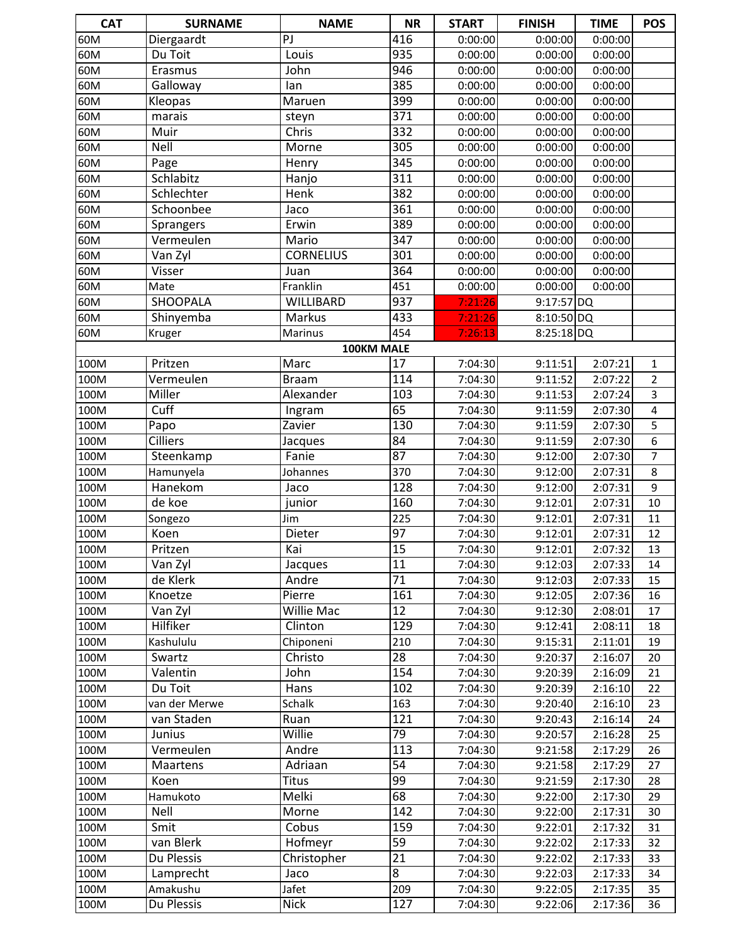| <b>CAT</b> | <b>SURNAME</b>  | <b>NAME</b>      | <b>NR</b>        | <b>START</b> | <b>FINISH</b> | <b>TIME</b> | <b>POS</b>     |
|------------|-----------------|------------------|------------------|--------------|---------------|-------------|----------------|
| 60M        | Diergaardt      | PJ               | 416              | 0:00:00      | 0:00:00       | 0:00:00     |                |
| 60M        | Du Toit         | Louis            | 935              | 0:00:00      | 0:00:00       | 0:00:00     |                |
| 60M        | Erasmus         | John             | 946              | 0:00:00      | 0:00:00       | 0:00:00     |                |
| 60M        | Galloway        | lan              | 385              | 0:00:00      | 0:00:00       | 0:00:00     |                |
| 60M        | Kleopas         | Maruen           | 399              | 0:00:00      | 0:00:00       | 0:00:00     |                |
| 60M        | marais          | steyn            | $\overline{371}$ | 0:00:00      | 0:00:00       | 0:00:00     |                |
| 60M        | Muir            | Chris            | 332              | 0:00:00      | 0:00:00       | 0:00:00     |                |
| 60M        | Nell            | Morne            | 305              | 0:00:00      | 0:00:00       | 0:00:00     |                |
| 60M        | Page            | Henry            | 345              | 0:00:00      | 0:00:00       | 0:00:00     |                |
| 60M        | Schlabitz       | Hanjo            | $\overline{311}$ | 0:00:00      | 0:00:00       | 0:00:00     |                |
| 60M        | Schlechter      | Henk             | 382              | 0:00:00      | 0:00:00       | 0:00:00     |                |
| 60M        | Schoonbee       | Jaco             | 361              | 0:00:00      | 0:00:00       | 0:00:00     |                |
| 60M        | Sprangers       | Erwin            | 389              | 0:00:00      | 0:00:00       | 0:00:00     |                |
| 60M        | Vermeulen       | Mario            | $\overline{347}$ | 0:00:00      | 0:00:00       | 0:00:00     |                |
| 60M        | Van Zyl         | <b>CORNELIUS</b> | 301              | 0:00:00      | 0:00:00       | 0:00:00     |                |
| 60M        | Visser          | Juan             | 364              | 0:00:00      | 0:00:00       | 0:00:00     |                |
| 60M        | Mate            | Franklin         | 451              | 0:00:00      | 0:00:00       | 0:00:00     |                |
| 60M        | <b>SHOOPALA</b> | WILLIBARD        | 937              | 7:21:26      | 9:17:57 DQ    |             |                |
| 60M        | Shinyemba       | <b>Markus</b>    | 433              | 7:21:26      | 8:10:50 DQ    |             |                |
| 60M        | Kruger          | <b>Marinus</b>   | 454              | 7:26:13      | $8:25:18$ DQ  |             |                |
|            |                 |                  | 100KM MALE       |              |               |             |                |
| 100M       | Pritzen         | Marc             | 17               | 7:04:30      | 9:11:51       | 2:07:21     | $\mathbf{1}$   |
| 100M       | Vermeulen       | <b>Braam</b>     | 114              | 7:04:30      | 9:11:52       | 2:07:22     | $\overline{2}$ |
| 100M       | Miller          | Alexander        | 103              | 7:04:30      | 9:11:53       | 2:07:24     | 3              |
| 100M       | Cuff            | Ingram           | 65               | 7:04:30      | 9:11:59       | 2:07:30     | 4              |
| 100M       | Papo            | Zavier           | 130              | 7:04:30      | 9:11:59       | 2:07:30     | 5              |
| 100M       | <b>Cilliers</b> | Jacques          | $\overline{84}$  | 7:04:30      | 9:11:59       | 2:07:30     | $\overline{6}$ |
| 100M       | Steenkamp       | Fanie            | 87               | 7:04:30      | 9:12:00       | 2:07:30     | $\overline{7}$ |
| 100M       | Hamunyela       | Johannes         | 370              | 7:04:30      | 9:12:00       | 2:07:31     | 8              |
| 100M       | Hanekom         | Jaco             | 128              | 7:04:30      | 9:12:00       | 2:07:31     | 9              |
| 100M       | de koe          | junior           | 160              | 7:04:30      | 9:12:01       | 2:07:31     | 10             |
| 100M       | Songezo         | Jim              | 225              | 7:04:30      | 9:12:01       | 2:07:31     | 11             |
| 100M       | Koen            | Dieter           | $\overline{97}$  | 7:04:30      | 9:12:01       | 2:07:31     | 12             |
| 100M       | Pritzen         | Kai              | $\overline{15}$  | 7:04:30      | 9:12:01       | 2:07:32     | 13             |
| 100M       | Van Zyl         | Jacques          | 11               | 7:04:30      | 9:12:03       | 2:07:33     | 14             |
| 100M       | de Klerk        | Andre            | 71               | 7:04:30      | 9:12:03       | 2:07:33     | 15             |
| 100M       | Knoetze         | Pierre           | 161              | 7:04:30      | 9:12:05       | 2:07:36     | 16             |
| 100M       | Van Zyl         | Willie Mac       | 12               | 7:04:30      | 9:12:30       | 2:08:01     | 17             |
| 100M       | Hilfiker        | Clinton          | 129              | 7:04:30      | 9:12:41       | 2:08:11     | 18             |
| 100M       | Kashululu       | Chiponeni        | 210              | 7:04:30      | 9:15:31       | 2:11:01     | 19             |
| 100M       | Swartz          | Christo          | $\overline{28}$  | 7:04:30      | 9:20:37       | 2:16:07     | 20             |
| 100M       | Valentin        | John             | 154              | 7:04:30      | 9:20:39       | 2:16:09     | 21             |
| 100M       | Du Toit         | Hans             | 102              | 7:04:30      | 9:20:39       | 2:16:10     | 22             |
| 100M       | van der Merwe   | Schalk           | 163              | 7:04:30      | 9:20:40       | 2:16:10     | 23             |
| 100M       | van Staden      | Ruan             | 121              | 7:04:30      | 9:20:43       | 2:16:14     | 24             |
| 100M       | Junius          | Willie           | 79               | 7:04:30      | 9:20:57       | 2:16:28     | 25             |
| 100M       | Vermeulen       | Andre            | 113              | 7:04:30      | 9:21:58       | 2:17:29     | 26             |
| 100M       | Maartens        | Adriaan          | 54               | 7:04:30      | 9:21:58       | 2:17:29     | 27             |
| 100M       | Koen            | <b>Titus</b>     | 99               | 7:04:30      | 9:21:59       | 2:17:30     | 28             |
| 100M       | Hamukoto        | Melki            | 68               | 7:04:30      | 9:22:00       | 2:17:30     | 29             |
| 100M       | Nell            | Morne            | 142              | 7:04:30      | 9:22:00       | 2:17:31     | 30             |
| 100M       | Smit            | Cobus            | 159              | 7:04:30      | 9:22:01       | 2:17:32     | 31             |
| 100M       | van Blerk       | Hofmeyr          | 59               | 7:04:30      | 9:22:02       | 2:17:33     | 32             |
| 100M       | Du Plessis      | Christopher      | 21               | 7:04:30      | 9:22:02       | 2:17:33     | 33             |
| 100M       | Lamprecht       | Jaco             | $\overline{8}$   | 7:04:30      | 9:22:03       | 2:17:33     | 34             |
| 100M       | Amakushu        | Jafet            | 209              | 7:04:30      | 9:22:05       | 2:17:35     | 35             |
| 100M       | Du Plessis      | <b>Nick</b>      | 127              | 7:04:30      | 9:22:06       | 2:17:36     | 36             |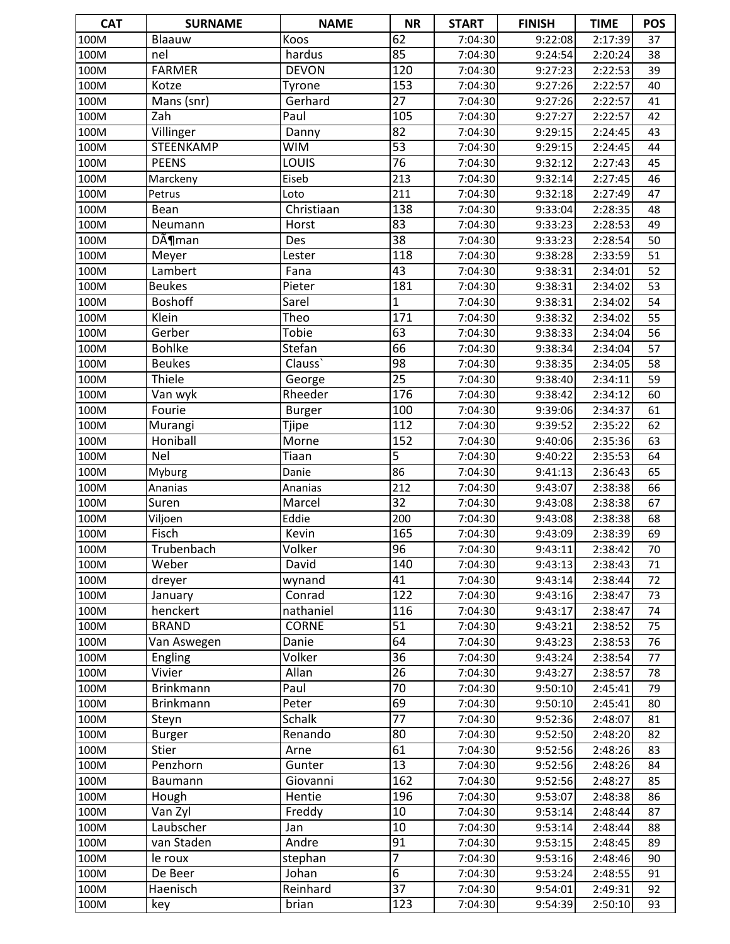| <b>CAT</b>   | <b>SURNAME</b>        | <b>NAME</b>            | <b>NR</b>             | <b>START</b>       | <b>FINISH</b>      | <b>TIME</b>        | POS      |
|--------------|-----------------------|------------------------|-----------------------|--------------------|--------------------|--------------------|----------|
| 100M         | Blaauw                | Koos                   | 62                    | 7:04:30            | 9:22:08            | 2:17:39            | 37       |
| 100M         | nel                   | hardus                 | 85                    | 7:04:30            | 9:24:54            | 2:20:24            | 38       |
| 100M         | <b>FARMER</b>         | <b>DEVON</b>           | 120                   | 7:04:30            | 9:27:23            | 2:22:53            | 39       |
| 100M         | Kotze                 | Tyrone                 | 153                   | 7:04:30            | 9:27:26            | 2:22:57            | 40       |
| 100M         | Mans (snr)            | Gerhard                | $\overline{27}$       | 7:04:30            | 9:27:26            | 2:22:57            | 41       |
| 100M         | Zah                   | Paul                   | 105                   | 7:04:30            | 9:27:27            | 2:22:57            | 42       |
| 100M         | Villinger             | Danny                  | 82                    | 7:04:30            | 9:29:15            | 2:24:45            | 43       |
| 100M         | STEENKAMP             | <b>WIM</b>             | $\overline{53}$       | 7:04:30            | 9:29:15            | 2:24:45            | 44       |
| 100M         | <b>PEENS</b>          | LOUIS                  | 76                    | 7:04:30            | 9:32:12            | 2:27:43            | 45       |
| 100M         | Marckeny              | Eiseb                  | 213                   | 7:04:30            | 9:32:14            | 2:27:45            | 46       |
| 100M         | Petrus                | Loto                   | 211                   | 7:04:30            | 9:32:18            | 2:27:49            | 47       |
| 100M         | Bean                  | Christiaan             | 138                   | 7:04:30            | 9:33:04            | 2:28:35            | 48       |
| 100M         | Neumann               | Horst                  | 83                    | 7:04:30            | 9:33:23            | 2:28:53            | 49       |
| 100M         | $D\tilde{A}$ ¶man     | Des                    | $\overline{38}$       | 7:04:30            | 9:33:23            | 2:28:54            | 50       |
| 100M         | Meyer                 | Lester                 | 118                   | 7:04:30            | 9:38:28            | 2:33:59            | 51       |
| 100M         | Lambert               | Fana                   | 43                    | 7:04:30            | 9:38:31            | 2:34:01            | 52       |
| 100M         | <b>Beukes</b>         | Pieter                 | 181                   | 7:04:30            | 9:38:31            | 2:34:02            | 53       |
| 100M         | <b>Boshoff</b>        | Sarel                  | $\overline{1}$        | 7:04:30            | 9:38:31            | 2:34:02            | 54       |
| 100M         | Klein                 | Theo                   | 171                   | 7:04:30            | 9:38:32            | 2:34:02            | 55       |
| 100M         | Gerber                | <b>Tobie</b>           | 63                    | 7:04:30            | 9:38:33            | 2:34:04            | 56       |
| 100M         | <b>Bohlke</b>         | Stefan                 | $\overline{66}$       | 7:04:30            | 9:38:34            | 2:34:04            | 57       |
| 100M         | <b>Beukes</b>         | Clauss'                | 98                    | 7:04:30            | 9:38:35            | 2:34:05            | 58       |
| 100M         | Thiele                | George                 | $\overline{25}$       | 7:04:30            | 9:38:40            | 2:34:11            | 59       |
| 100M         | Van wyk               | Rheeder                | 176                   | 7:04:30            | 9:38:42            | 2:34:12            | 60       |
| 100M         | Fourie                | <b>Burger</b>          | 100                   | 7:04:30            | 9:39:06            | 2:34:37            | 61       |
| 100M         | Murangi               | Tjipe                  | 112                   | 7:04:30            | 9:39:52            | 2:35:22            | 62       |
| 100M         | Honiball              | Morne                  | 152                   | 7:04:30            | 9:40:06            | 2:35:36            | 63       |
| 100M         | <b>Nel</b>            | Tiaan                  | 5                     | 7:04:30            | 9:40:22            | 2:35:53            | 64       |
| 100M         | Myburg                | Danie                  | 86                    | 7:04:30            | 9:41:13            | 2:36:43            | 65       |
| 100M         | Ananias               | Ananias                | 212                   | 7:04:30            | 9:43:07            | 2:38:38            | 66       |
| 100M         | <b>Suren</b>          | Marcel                 | $\overline{32}$       | 7:04:30            | 9:43:08            | 2:38:38            | 67       |
| 100M         | Viljoen               | Eddie                  | 200                   | 7:04:30            | 9:43:08            | 2:38:38            | 68       |
| 100M         | Fisch                 | Kevin                  | 165                   | 7:04:30            | 9:43:09            | 2:38:39            | 69       |
| 100M         | Trubenbach            | Volker                 | 96                    | 7:04:30            | 9:43:11            | 2:38:42            | 70       |
| 100M         | Weber                 | David                  | 140                   | 7:04:30            | 9:43:13            | 2:38:43            | 71       |
| 100M         | dreyer                | wynand                 | 41                    | 7:04:30            | 9:43:14            | 2:38:44            | 72       |
| 100M         | January               | Conrad                 | $\overline{122}$      | 7:04:30            | 9:43:16            | 2:38:47            | 73       |
| 100M         | henckert              | nathaniel              | 116                   | 7:04:30            | 9:43:17            | 2:38:47            | 74       |
| 100M         | <b>BRAND</b>          | <b>CORNE</b>           | 51                    | 7:04:30            | 9:43:21            | 2:38:52            | 75       |
| 100M         | Van Aswegen           | Danie                  | 64                    | 7:04:30            | 9:43:23            | 2:38:53            | 76       |
| 100M         | <b>Engling</b>        | Volker                 | 36                    | 7:04:30            | 9:43:24            | 2:38:54            | 77       |
| 100M         | Vivier                | Allan                  | 26                    | 7:04:30            | 9:43:27            | 2:38:57            | 78       |
| 100M         | <b>Brinkmann</b>      | Paul                   | 70                    | 7:04:30            | 9:50:10            | 2:45:41            | 79       |
| 100M         | <b>Brinkmann</b>      | Peter<br><b>Schalk</b> | 69<br>$\overline{77}$ | 7:04:30            | 9:50:10            | 2:45:41            | 80       |
| 100M         | Steyn                 | Renando                | 80                    | 7:04:30            | 9:52:36            | 2:48:07            | 81       |
| 100M<br>100M | <b>Burger</b>         | Arne                   | 61                    | 7:04:30<br>7:04:30 | 9:52:50            | 2:48:20            | 82       |
|              | Stier<br>Penzhorn     | Gunter                 | $\overline{13}$       |                    | 9:52:56            | 2:48:26            | 83       |
| 100M         |                       | Giovanni               | $\overline{1}$ 62     | 7:04:30            | 9:52:56            | 2:48:26            | 84       |
| 100M         | Baumann               |                        |                       | 7:04:30            | 9:52:56            | 2:48:27            | 85       |
| 100M         | Hough                 | Hentie                 | 196<br>$10\,$         | 7:04:30            | 9:53:07            | 2:48:38            | 86       |
| 100M         | Van Zyl<br>Laubscher  | Freddy<br>Jan          | 10                    | 7:04:30            | 9:53:14            | 2:48:44            | 87       |
| 100M         |                       | Andre                  | 91                    | 7:04:30            | 9:53:14            | 2:48:44            | 88       |
| 100M<br>100M | van Staden<br>le roux | stephan                | 7                     | 7:04:30<br>7:04:30 | 9:53:15<br>9:53:16 | 2:48:45<br>2:48:46 | 89<br>90 |
| 100M         | De Beer               | Johan                  | $\overline{6}$        | 7:04:30            | 9:53:24            | 2:48:55            | 91       |
| 100M         | Haenisch              | Reinhard               | $\overline{37}$       | 7:04:30            | 9:54:01            | 2:49:31            | 92       |
| 100M         |                       | brian                  | 123                   | 7:04:30            | 9:54:39            | 2:50:10            | 93       |
|              | key                   |                        |                       |                    |                    |                    |          |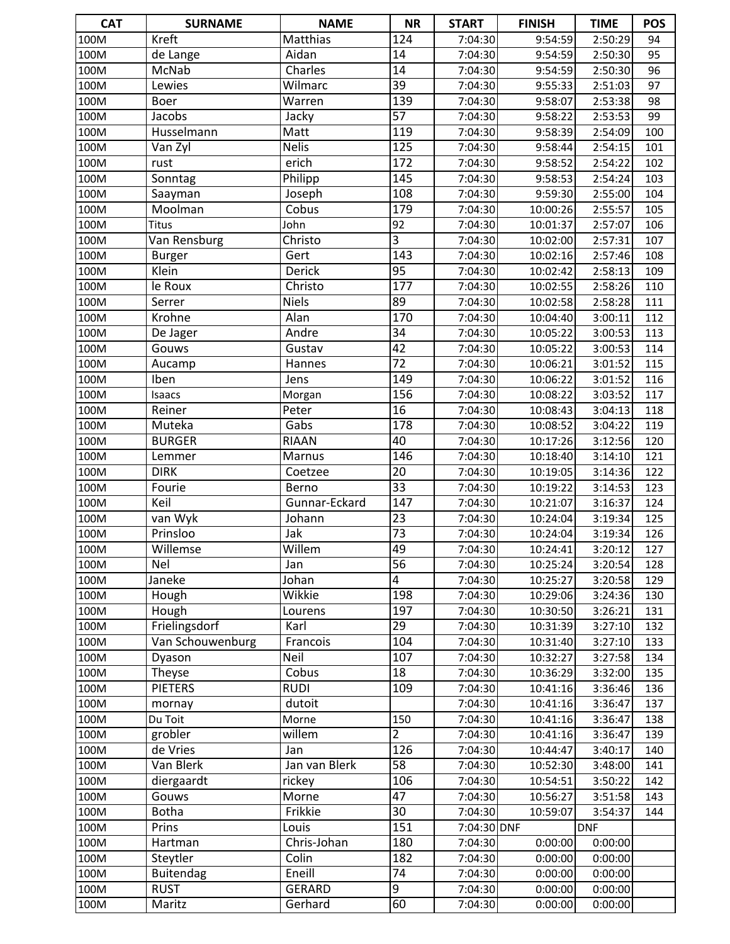| <b>CAT</b>   | <b>SURNAME</b>           | <b>NAME</b>          | <b>NR</b>        | <b>START</b>       | <b>FINISH</b>        | <b>TIME</b>        | <b>POS</b> |
|--------------|--------------------------|----------------------|------------------|--------------------|----------------------|--------------------|------------|
| 100M         | Kreft                    | Matthias             | 124              | 7:04:30            | 9:54:59              | 2:50:29            | 94         |
| 100M         | de Lange                 | Aidan                | 14               | 7:04:30            | 9:54:59              | 2:50:30            | 95         |
| 100M         | McNab                    | Charles              | 14               | 7:04:30            | 9:54:59              | 2:50:30            | 96         |
| 100M         | Lewies                   | Wilmarc              | $\overline{39}$  | 7:04:30            | 9:55:33              | 2:51:03            | 97         |
| 100M         | <b>Boer</b>              | Warren               | 139              | 7:04:30            | 9:58:07              | 2:53:38            | 98         |
| 100M         | Jacobs                   | Jacky                | $\overline{57}$  | 7:04:30            | 9:58:22              | 2:53:53            | 99         |
| 100M         | Husselmann               | Matt                 | 119              | 7:04:30            | 9:58:39              | 2:54:09            | 100        |
| 100M         | Van Zyl                  | <b>Nelis</b>         | 125              | 7:04:30            | 9:58:44              | 2:54:15            | 101        |
| 100M         | rust                     | erich                | 172              | 7:04:30            | 9:58:52              | 2:54:22            | 102        |
| 100M         | Sonntag                  | Philipp              | 145              | 7:04:30            | 9:58:53              | 2:54:24            | 103        |
| 100M         | Saayman                  | Joseph               | 108              | 7:04:30            | 9:59:30              | 2:55:00            | 104        |
| 100M         | Moolman                  | Cobus                | 179              | 7:04:30            | 10:00:26             | 2:55:57            | 105        |
| 100M         | <b>Titus</b>             | John                 | 92               | 7:04:30            | 10:01:37             | 2:57:07            | 106        |
| 100M         | Van Rensburg             | Christo              | $\overline{3}$   | 7:04:30            | 10:02:00             | 2:57:31            | 107        |
| 100M         | <b>Burger</b>            | Gert                 | 143              | 7:04:30            | 10:02:16             | 2:57:46            | 108        |
| 100M         | Klein                    | Derick               | $\overline{95}$  | 7:04:30            | 10:02:42             | 2:58:13            | 109        |
| 100M         | le Roux                  | Christo              | $\overline{177}$ | 7:04:30            | 10:02:55             | 2:58:26            | 110        |
| 100M         | Serrer                   | <b>Niels</b>         | 89               | 7:04:30            | 10:02:58             | 2:58:28            | 111        |
| 100M         | Krohne                   | Alan                 | 170              | 7:04:30            | 10:04:40             | 3:00:11            | 112        |
| 100M         | De Jager                 | Andre                | 34               | 7:04:30            | 10:05:22             | 3:00:53            | 113        |
| 100M         | Gouws                    | Gustav               | $\overline{42}$  | 7:04:30            | 10:05:22             | 3:00:53            | 114        |
| 100M         | Aucamp                   | Hannes               | $\overline{72}$  | 7:04:30            | 10:06:21             | 3:01:52            | 115        |
| 100M         | <b>Iben</b>              | Jens                 | 149              | 7:04:30            | 10:06:22             | 3:01:52            | 116        |
| 100M         | Isaacs                   | Morgan               | 156              | 7:04:30            | 10:08:22             | 3:03:52            | 117        |
| 100M         | Reiner                   | Peter                | $\overline{16}$  | 7:04:30            | 10:08:43             | 3:04:13            | 118        |
| 100M         | Muteka                   | Gabs                 | $\overline{178}$ | 7:04:30            | 10:08:52             | 3:04:22            | 119        |
| 100M         | <b>BURGER</b>            | <b>RIAAN</b>         | 40               | 7:04:30            | 10:17:26             | 3:12:56            | 120        |
| 100M         | Lemmer                   | Marnus               | 146              | 7:04:30            | 10:18:40             | 3:14:10            | 121        |
| 100M         | <b>DIRK</b>              | Coetzee              | 20               | 7:04:30            | 10:19:05             | 3:14:36            | 122        |
| 100M         | Fourie                   | Berno                | $\overline{33}$  | 7:04:30            | 10:19:22             | 3:14:53            | 123        |
| 100M         | Keil                     | Gunnar-Eckard        | 147              | 7:04:30            | 10:21:07             | 3:16:37            | 124        |
| 100M         | van Wyk                  | Johann               | 23               | 7:04:30            | 10:24:04             | 3:19:34            | 125        |
| 100M         | Prinsloo                 | Jak                  | $\overline{73}$  | 7:04:30            | 10:24:04             | 3:19:34            | 126        |
| 100M         | Willemse                 | Willem               | 49               | 7:04:30            | 10:24:41             | 3:20:12            | 127        |
| 100M         | Nel                      | Jan                  | $\overline{56}$  | 7:04:30            | 10:25:24             | 3:20:54            | 128        |
| 100M         | Janeke                   | Johan                | 4                | 7:04:30            | 10:25:27             | 3:20:58            | 129        |
| 100M         | Hough                    | Wikkie               | 198              | 7:04:30            | 10:29:06             | 3:24:36            | 130        |
| 100M         | Hough                    | Lourens              | 197              | 7:04:30            | 10:30:50             | 3:26:21            | 131        |
| 100M         | Frielingsdorf            | Karl                 | 29               | 7:04:30            | 10:31:39             | 3:27:10            | 132        |
| 100M         | Van Schouwenburg         | Francois             | 104              | 7:04:30            | 10:31:40             | 3:27:10            | 133        |
| 100M         | Dyason                   | Neil                 | 107              | 7:04:30            | 10:32:27             | 3:27:58            | 134        |
| 100M         | Theyse<br><b>PIETERS</b> | Cobus<br><b>RUDI</b> | 18               | 7:04:30            | 10:36:29             | 3:32:00            | 135        |
| 100M         |                          |                      | 109              | 7:04:30            | 10:41:16             | 3:36:46            | 136        |
| 100M         | mornay<br>Du Toit        | dutoit               | 150              | 7:04:30<br>7:04:30 | 10:41:16             | 3:36:47            | 137        |
| 100M<br>100M | grobler                  | Morne<br>willem      | $\overline{2}$   | 7:04:30            | 10:41:16<br>10:41:16 | 3:36:47<br>3:36:47 | 138<br>139 |
| 100M         | de Vries                 | Jan                  | 126              | 7:04:30            | 10:44:47             | 3:40:17            | 140        |
| 100M         | Van Blerk                | Jan van Blerk        | $\overline{58}$  | 7:04:30            | 10:52:30             | 3:48:00            | 141        |
| 100M         | diergaardt               | rickey               | 106              | 7:04:30            | 10:54:51             | 3:50:22            | 142        |
| 100M         | Gouws                    | Morne                | $\overline{47}$  | 7:04:30            | 10:56:27             | 3:51:58            | 143        |
| 100M         | <b>Botha</b>             | Frikkie              | 30               | 7:04:30            | 10:59:07             | 3:54:37            | 144        |
| 100M         | Prins                    | Louis                | 151              | 7:04:30 DNF        |                      | <b>DNF</b>         |            |
| 100M         | Hartman                  | Chris-Johan          | 180              | 7:04:30            | 0:00:00              | 0:00:00            |            |
| 100M         | Steytler                 | Colin                | 182              | 7:04:30            | 0:00:00              | 0:00:00            |            |
| 100M         | <b>Buitendag</b>         | Eneill               | 74               | 7:04:30            | 0:00:00              | 0:00:00            |            |
| 100M         | <b>RUST</b>              | <b>GERARD</b>        | $\overline{9}$   | 7:04:30            | 0:00:00              | 0:00:00            |            |
| 100M         | Maritz                   | Gerhard              | 60               | 7:04:30            | 0:00:00              | 0:00:00            |            |
|              |                          |                      |                  |                    |                      |                    |            |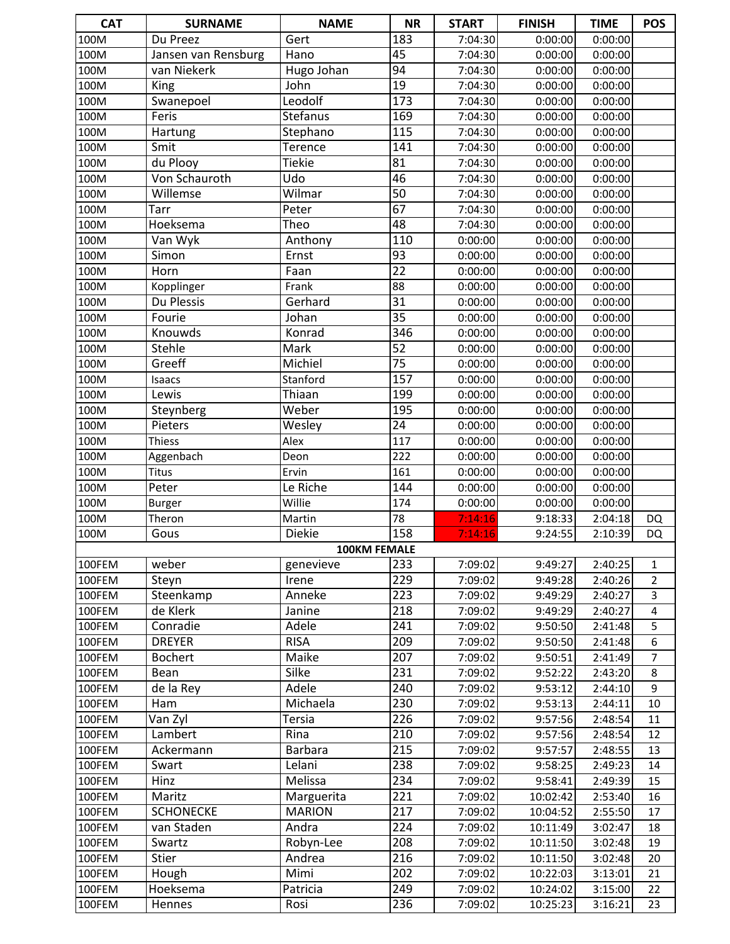| <b>CAT</b> | <b>SURNAME</b>            | <b>NAME</b>         | <b>NR</b>        | <b>START</b>       | <b>FINISH</b>      | <b>TIME</b>        | <b>POS</b>     |
|------------|---------------------------|---------------------|------------------|--------------------|--------------------|--------------------|----------------|
| 100M       | Du Preez                  | Gert                | 183              | 7:04:30            | 0:00:00            | 0:00:00            |                |
| 100M       | Jansen van Rensburg       | Hano                | 45               | 7:04:30            | 0:00:00            | 0:00:00            |                |
| 100M       | van Niekerk               | Hugo Johan          | 94               | 7:04:30            | 0:00:00            | 0:00:00            |                |
| 100M       | King                      | John                | $\overline{19}$  | 7:04:30            | 0:00:00            | 0:00:00            |                |
| 100M       | Swanepoel                 | Leodolf             | 173              | 7:04:30            | 0:00:00            | 0:00:00            |                |
| 100M       | Feris                     | <b>Stefanus</b>     | 169              | 7:04:30            | 0:00:00            | 0:00:00            |                |
| 100M       | Hartung                   | Stephano            | 115              | 7:04:30            | 0:00:00            | 0:00:00            |                |
| 100M       | Smit                      | Terence             | 141              | 7:04:30            | 0:00:00            | 0:00:00            |                |
| 100M       | du Plooy                  | <b>Tiekie</b>       | 81               | 7:04:30            | 0:00:00            | 0:00:00            |                |
| 100M       | Von Schauroth             | Udo                 | 46               | 7:04:30            | 0:00:00            | 0:00:00            |                |
| 100M       | Willemse                  | Wilmar              | $\overline{50}$  | 7:04:30            | 0:00:00            | 0:00:00            |                |
| 100M       | Tarr                      | Peter               | 67               | 7:04:30            | 0:00:00            | 0:00:00            |                |
| 100M       | Hoeksema                  | Theo                | 48               | 7:04:30            | 0:00:00            | 0:00:00            |                |
| 100M       | Van Wyk                   | Anthony             | 110              | 0:00:00            | 0:00:00            | 0:00:00            |                |
| 100M       | Simon                     | Ernst               | 93               | 0:00:00            | 0:00:00            | 0:00:00            |                |
| 100M       | Horn                      | Faan                | $\overline{22}$  | 0:00:00            | 0:00:00            | 0:00:00            |                |
| 100M       | Kopplinger                | Frank               | 88               | 0:00:00            | 0:00:00            | 0:00:00            |                |
| 100M       | Du Plessis                | Gerhard             | 31               | 0:00:00            | 0:00:00            | 0:00:00            |                |
| 100M       | Fourie                    | Johan               | 35               | 0:00:00            | 0:00:00            | 0:00:00            |                |
| 100M       | Knouwds                   | Konrad              | $\overline{346}$ | 0:00:00            | 0:00:00            | 0:00:00            |                |
| 100M       | Stehle                    | Mark                | $\overline{52}$  | 0:00:00            | 0:00:00            | 0:00:00            |                |
| 100M       | Greeff                    | Michiel             | $\overline{75}$  | 0:00:00            | 0:00:00            | 0:00:00            |                |
| 100M       | Isaacs                    | Stanford            | 157              | 0:00:00            | 0:00:00            | 0:00:00            |                |
| 100M       | Lewis                     | Thiaan              | 199              | 0:00:00            | 0:00:00            | 0:00:00            |                |
| 100M       | Steynberg                 | Weber               | 195              | 0:00:00            | 0:00:00            | 0:00:00            |                |
| 100M       | Pieters                   | Wesley              | $\overline{24}$  | 0:00:00            | 0:00:00            | 0:00:00            |                |
| 100M       | <b>Thiess</b>             | Alex                | 117              | 0:00:00            | 0:00:00            | 0:00:00            |                |
| 100M       |                           | Deon                | 222              | 0:00:00            | 0:00:00            | 0:00:00            |                |
| 100M       | Aggenbach<br><b>Titus</b> |                     | 161              | 0:00:00            | 0:00:00            | 0:00:00            |                |
| 100M       | Peter                     | Ervin<br>Le Riche   | 144              | 0:00:00            |                    | 0:00:00            |                |
| 100M       |                           | Willie              | 174              | 0:00:00            | 0:00:00<br>0:00:00 | 0:00:00            |                |
| 100M       | <b>Burger</b>             | Martin              | 78               |                    | 9:18:33            |                    |                |
| 100M       | Theron<br>Gous            | <b>Diekie</b>       | 158              | 7:14:16<br>7:14:16 | 9:24:55            | 2:04:18<br>2:10:39 | DQ             |
|            |                           | <b>100KM FEMALE</b> |                  |                    |                    |                    | DQ             |
| 100FEM     | weber                     |                     | 233              | 7:09:02            | 9:49:27            | 2:40:25            | $\mathbf{1}$   |
| 100FEM     |                           | genevieve<br>Irene  | 229              | 7:09:02            | 9:49:28            | 2:40:26            | $\overline{2}$ |
| 100FEM     | Steyn<br>Steenkamp        | Anneke              | 223              | 7:09:02            |                    | 2:40:27            | $\overline{3}$ |
| 100FEM     | de Klerk                  | Janine              | 218              | 7:09:02            | 9:49:29<br>9:49:29 | 2:40:27            |                |
| 100FEM     | Conradie                  | Adele               | 241              | 7:09:02            |                    | 2:41:48            | 4              |
| 100FEM     | <b>DREYER</b>             | <b>RISA</b>         | 209              | 7:09:02            | 9:50:50<br>9:50:50 | 2:41:48            | 5<br>6         |
|            |                           | Maike               | 207              |                    |                    |                    |                |
| 100FEM     | <b>Bochert</b>            | Silke               | 231              | 7:09:02            | 9:50:51            | 2:41:49            | 7<br>8         |
| 100FEM     | Bean                      |                     |                  | 7:09:02<br>7:09:02 | 9:52:22            | 2:43:20            |                |
| 100FEM     | de la Rey                 | Adele               | 240              |                    | 9:53:12            | 2:44:10            | 9              |
| 100FEM     | Ham                       | Michaela            | 230              | 7:09:02            | 9:53:13            | 2:44:11            | $10\,$         |
| 100FEM     | Van Zyl                   | Tersia              | 226              | 7:09:02            | 9:57:56            | 2:48:54            | 11             |
| 100FEM     | Lambert                   | Rina                | 210              | 7:09:02            | 9:57:56            | 2:48:54            | 12             |
| 100FEM     | Ackermann                 | <b>Barbara</b>      | 215              | 7:09:02            | 9:57:57            | 2:48:55            | 13             |
| 100FEM     | Swart                     | Lelani              | 238              | 7:09:02            | 9:58:25            | 2:49:23            | 14             |
| 100FEM     | Hinz                      | Melissa             | 234              | 7:09:02            | 9:58:41            | 2:49:39            | 15             |
| 100FEM     | Maritz                    | Marguerita          | 221              | 7:09:02            | 10:02:42           | 2:53:40            | 16             |
| 100FEM     | <b>SCHONECKE</b>          | <b>MARION</b>       | 217              | 7:09:02            | 10:04:52           | 2:55:50            | 17             |
| 100FEM     | van Staden                | Andra               | 224              | 7:09:02            | 10:11:49           | 3:02:47            | 18             |
| 100FEM     | Swartz                    | Robyn-Lee           | 208              | 7:09:02            | 10:11:50           | 3:02:48            | 19             |
| 100FEM     | Stier                     | Andrea              | 216              | 7:09:02            | 10:11:50           | 3:02:48            | 20             |
| 100FEM     | Hough                     | Mimi                | 202              | 7:09:02            | 10:22:03           | 3:13:01            | 21             |
| 100FEM     | Hoeksema                  | Patricia            | 249              | 7:09:02            | 10:24:02           | 3:15:00            | 22             |
| 100FEM     | Hennes                    | Rosi                | 236              | 7:09:02            | 10:25:23           | 3:16:21            | 23             |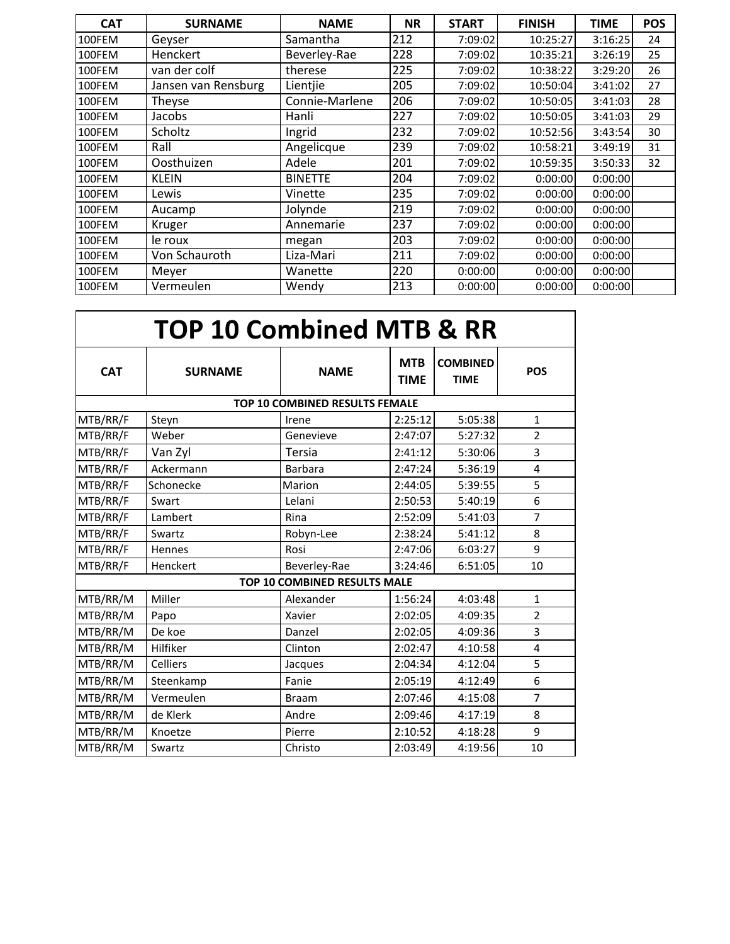| <b>CAT</b> | <b>SURNAME</b>      | <b>NAME</b>    | <b>NR</b> | <b>START</b> | <b>FINISH</b> | <b>TIME</b> | <b>POS</b> |
|------------|---------------------|----------------|-----------|--------------|---------------|-------------|------------|
| 100FEM     | Geyser              | Samantha       | 212       | 7:09:02      | 10:25:27      | 3:16:25     | 24         |
| 100FEM     | Henckert            | Beverley-Rae   | 228       | 7:09:02      | 10:35:21      | 3:26:19     | 25         |
| 100FEM     | van der colf        | therese        | 225       | 7:09:02      | 10:38:22      | 3:29:20     | 26         |
| 100FEM     | Jansen van Rensburg | Lientjie       | 205       | 7:09:02      | 10:50:04      | 3:41:02     | 27         |
| 100FEM     | Theyse              | Connie-Marlene | 206       | 7:09:02      | 10:50:05      | 3:41:03     | 28         |
| 100FEM     | Jacobs              | Hanli          | 227       | 7:09:02      | 10:50:05      | 3:41:03     | 29         |
| 100FEM     | Scholtz             | Ingrid         | 232       | 7:09:02      | 10:52:56      | 3:43:54     | 30         |
| 100FEM     | Rall                | Angelicque     | 239       | 7:09:02      | 10:58:21      | 3:49:19     | 31         |
| 100FEM     | Oosthuizen          | Adele          | 201       | 7:09:02      | 10:59:35      | 3:50:33     | 32         |
| 100FEM     | <b>KLEIN</b>        | <b>BINETTE</b> | 204       | 7:09:02      | 0:00:00       | 0:00:00     |            |
| 100FEM     | Lewis               | Vinette        | 235       | 7:09:02      | 0:00:00       | 0:00:00     |            |
| 100FEM     | Aucamp              | Jolynde        | 219       | 7:09:02      | 0:00:00       | 0:00:00     |            |
| 100FEM     | Kruger              | Annemarie      | 237       | 7:09:02      | 0:00:00       | 0:00:00     |            |
| 100FEM     | le roux             | megan          | 203       | 7:09:02      | 0:00:00       | 0:00:00     |            |
| 100FEM     | Von Schauroth       | Liza-Mari      | 211       | 7:09:02      | 0:00:00       | 0:00:00     |            |
| 100FEM     | Meyer               | Wanette        | 220       | 0:00:00      | 0:00:00       | 0:00:00     |            |
| 100FEM     | Vermeulen           | Wendy          | 213       | 0:00:00      | 0:00:00       | 0:00:00     |            |

| <b>TOP 10 Combined MTB &amp; RR</b> |                 |                                       |                           |                                |                |  |  |  |
|-------------------------------------|-----------------|---------------------------------------|---------------------------|--------------------------------|----------------|--|--|--|
| <b>CAT</b>                          | <b>SURNAME</b>  | <b>NAME</b>                           | <b>MTB</b><br><b>TIME</b> | <b>COMBINED</b><br><b>TIME</b> | <b>POS</b>     |  |  |  |
|                                     |                 | <b>TOP 10 COMBINED RESULTS FEMALE</b> |                           |                                |                |  |  |  |
| MTB/RR/F                            | Steyn           | Irene                                 | 2:25:12                   | 5:05:38                        | $\mathbf{1}$   |  |  |  |
| MTB/RR/F                            | Weber           | Genevieve                             | 2:47:07                   | 5:27:32                        | $\overline{2}$ |  |  |  |
| MTB/RR/F                            | Van Zyl         | <b>Tersia</b>                         | 2:41:12                   | 5:30:06                        | 3              |  |  |  |
| MTB/RR/F                            | Ackermann       | <b>Barbara</b>                        | 2:47:24                   | 5:36:19                        | 4              |  |  |  |
| MTB/RR/F                            | Schonecke       | Marion                                | 2:44:05                   | 5:39:55                        | 5              |  |  |  |
| MTB/RR/F                            | Swart           | Lelani                                | 2:50:53                   | 5:40:19                        | 6              |  |  |  |
| MTB/RR/F                            | Lambert         | Rina                                  | 2:52:09                   | 5:41:03                        | 7              |  |  |  |
| MTB/RR/F                            | Swartz          | Robyn-Lee                             | 2:38:24                   | 5:41:12                        | 8              |  |  |  |
| MTB/RR/F                            | <b>Hennes</b>   | Rosi                                  | 2:47:06                   | 6:03:27                        | 9              |  |  |  |
| MTB/RR/F                            | Henckert        | Beverley-Rae                          | 3:24:46                   | 6:51:05                        | 10             |  |  |  |
|                                     |                 | TOP 10 COMBINED RESULTS MALE          |                           |                                |                |  |  |  |
| MTB/RR/M                            | Miller          | Alexander                             | 1:56:24                   | 4:03:48                        | $\mathbf{1}$   |  |  |  |
| MTB/RR/M                            | Papo            | Xavier                                | 2:02:05                   | 4:09:35                        | $\overline{2}$ |  |  |  |
| MTB/RR/M                            | De koe          | Danzel                                | 2:02:05                   | 4:09:36                        | 3              |  |  |  |
| MTB/RR/M                            | Hilfiker        | Clinton                               | 2:02:47                   | 4:10:58                        | 4              |  |  |  |
| MTB/RR/M                            | <b>Celliers</b> | Jacques                               | 2:04:34                   | 4:12:04                        | 5              |  |  |  |
| MTB/RR/M                            | Steenkamp       | Fanie                                 | 2:05:19                   | 4:12:49                        | 6              |  |  |  |
| MTB/RR/M                            | Vermeulen       | <b>Braam</b>                          | 2:07:46                   | 4:15:08                        | 7              |  |  |  |
| MTB/RR/M                            | de Klerk        | Andre                                 | 2:09:46                   | 4:17:19                        | 8              |  |  |  |
| MTB/RR/M                            | Knoetze         | Pierre                                | 2:10:52                   | 4:18:28                        | 9              |  |  |  |
| MTB/RR/M                            | Swartz          | Christo                               | 2:03:49                   | 4:19:56                        | 10             |  |  |  |